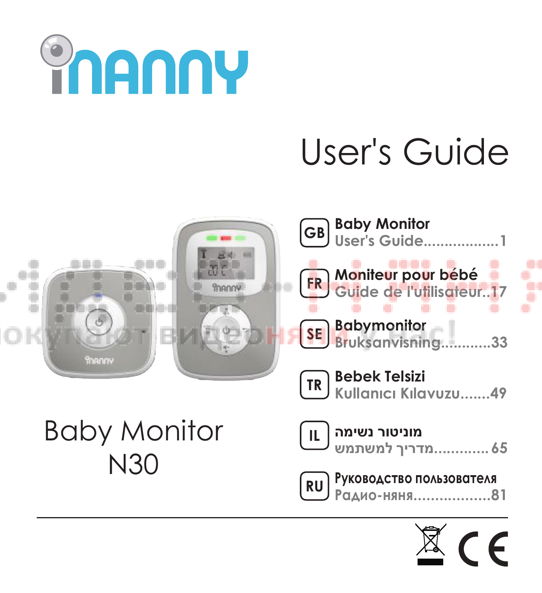

# User's Guide



**RU**



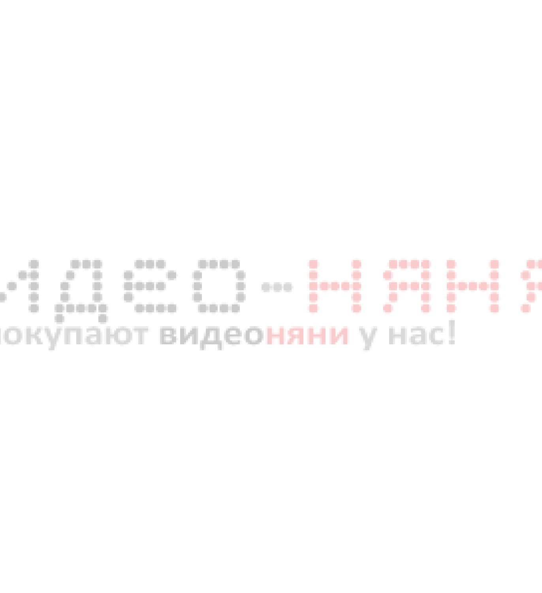$\begin{array}{cccccc} 0 & 0 & 0 & 0 & 0 & 0 & 0 & 0 & 0 \\ 0 & 0 & 0 & 0 & 0 & 0 & 0 & 0 \\ 0 & 0 & 0 & 0 & 0 & 0 & 0 & 0 \\ 0 & 0 & 0 & 0 & 0 & 0 & 0 & 0 \\ 0 & 0 & 0 & 0 & 0 & 0 & 0 & 0 \\ 0 & 0 & 0 & 0 & 0 & 0 & 0 & 0 \\ \end{array}$ **MO** M окупают видеоняни у нас!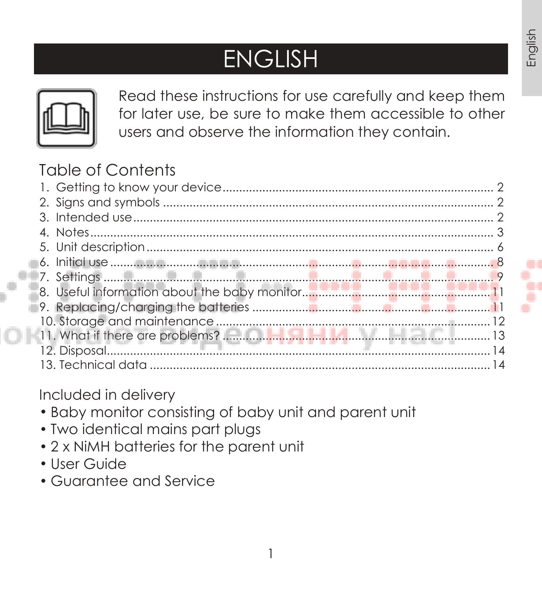## ENGLISH



Read these instructions for use carefully and keep them for later use, be sure to make them accessible to other users and observe the information they contain.

English

#### Table of Contents

Included in delivery

- Baby monitor consisting of baby unit and parent unit
- Two identical mains part plugs
- 2 x NiMH batteries for the parent unit
- User Guide
- Guarantee and Service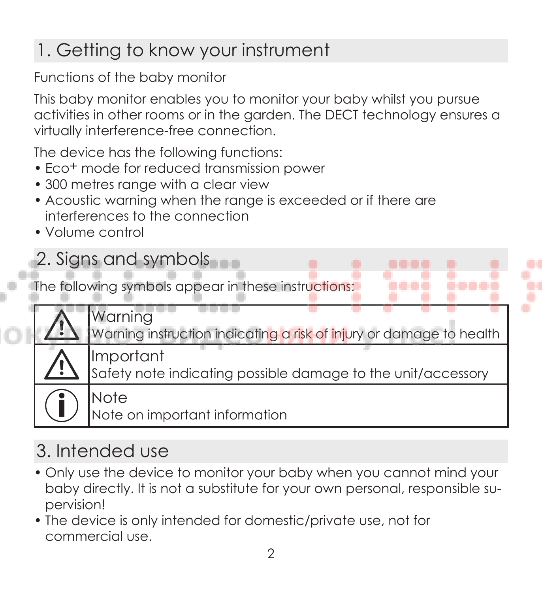## 1. Getting to know your instrument

Functions of the baby monitor

This baby monitor enables you to monitor your baby whilst you pursue activities in other rooms or in the garden. The DECT technology ensures a virtually interference-free connection.

The device has the following functions:

- Eco+ mode for reduced transmission power
- 300 metres range with a clear view
- Acoustic warning when the range is exceeded or if there are interferences to the connection
- Volume control

## 2. Signs and symbols

The following symbols appear in these instructions:

|            | Warning<br>Warning instruction indicating a risk of injury or damage to health |
|------------|--------------------------------------------------------------------------------|
| $\sqrt{2}$ | Important<br>Safety note indicating possible damage to the unit/accessory      |
|            | Note<br>Note on important information                                          |

## 3. Intended use

- Only use the device to monitor your baby when you cannot mind your baby directly. It is not a substitute for your own personal, responsible supervision!
- The device is only intended for domestic/private use, not for commercial use.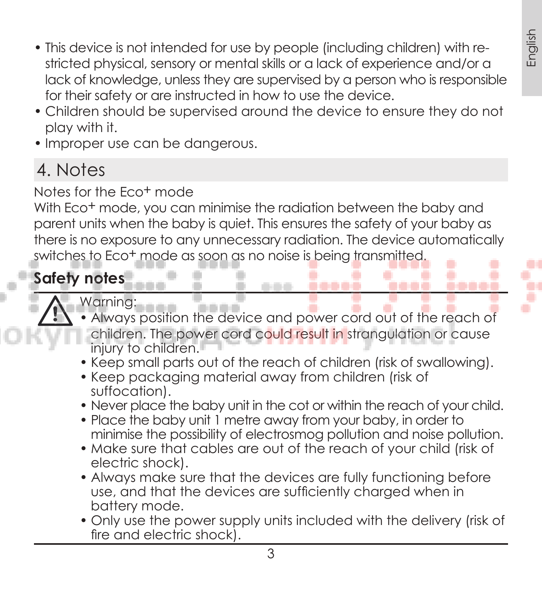- This device is not intended for use by people (including children) with restricted physical, sensory or mental skills or a lack of experience and/or a lack of knowledge, unless they are supervised by a person who is responsible for their safety or are instructed in how to use the device.
- Children should be supervised around the device to ensure they do not play with it.
- Improper use can be dangerous.

## 4. Notes

Notes for the Eco+ mode

With Eco<sup>+</sup> mode, you can minimise the radiation between the baby and parent units when the baby is quiet. This ensures the safety of your baby as there is no exposure to any unnecessary radiation. The device automatically switches to Eco+ mode as soon as no noise is being transmitted.

 $-0.00$ 

#### **Safety notes**

Warning:

- Always position the device and power cord out of the reach of children. The power cord could result in strangulation or cause injury to children.
- Keep small parts out of the reach of children (risk of swallowing).
- Keep packaging material away from children (risk of suffocation).
- Never place the baby unit in the cot or within the reach of your child.
- Place the baby unit 1 metre away from your baby, in order to minimise the possibility of electrosmog pollution and noise pollution.
- Make sure that cables are out of the reach of your child (risk of electric shock).
- Always make sure that the devices are fully functioning before use, and that the devices are sufficiently charged when in battery mode.
- Only use the power supply units included with the delivery (risk of fire and electric shock).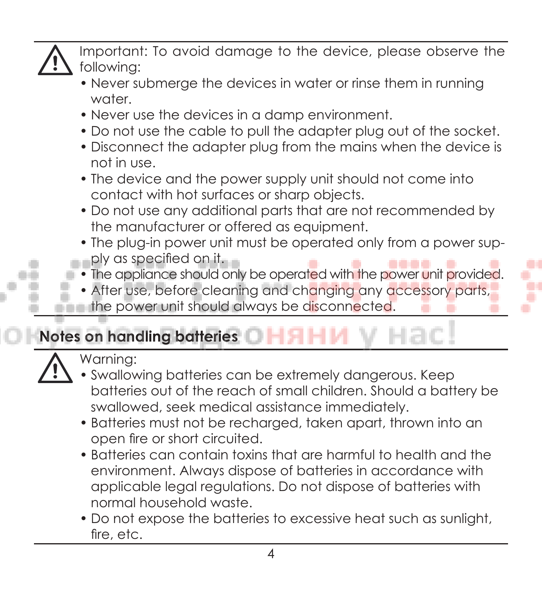

Warning:

- Swallowing batteries can be extremely dangerous. Keep batteries out of the reach of small children. Should a battery be swallowed, seek medical assistance immediately.
- Batteries must not be recharged, taken apart, thrown into an open fire or short circuited.
- Batteries can contain toxins that are harmful to health and the environment. Always dispose of batteries in accordance with applicable legal regulations. Do not dispose of batteries with normal household waste.
- Do not expose the batteries to excessive heat such as sunlight, fire,  $\rho \uparrow c$ .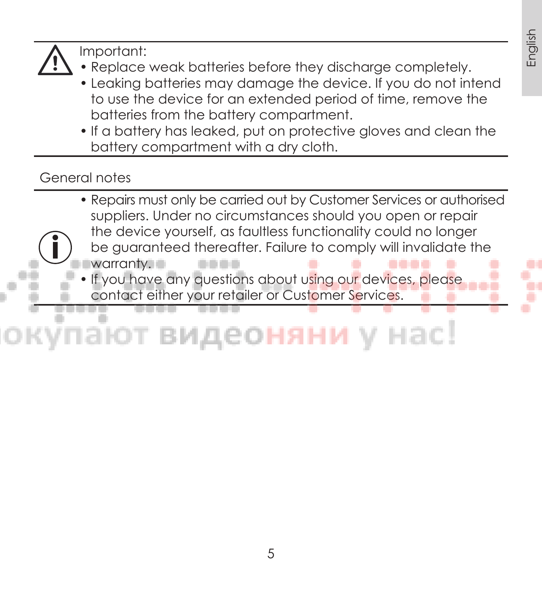

Important:

- Replace weak batteries before they discharge completely.
- Leaking batteries may damage the device. If you do not intend to use the device for an extended period of time, remove the batteries from the battery compartment.
- If a battery has leaked, put on protective gloves and clean the battery compartment with a dry cloth.

#### General notes

- Repairs must only be carried out by Customer Services or authorised suppliers. Under no circumstances should you open or repair the device yourself, as faultless functionality could no longer be guaranteed thereafter. Failure to comply will invalidate the warranty.
- If you have any questions about using our devices, please contact either your retailer or Customer Services.

т видео**няни**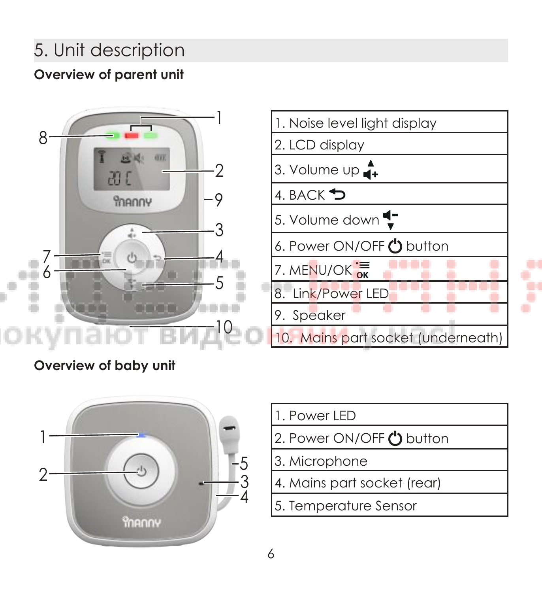## 5. Unit description

#### **Overview of parent unit**



**Overview of baby unit**



- 1. Power LED
- 2. Power ON/OFF  $\bigcirc$  button

ì

- 3. Microphone
- 4. Mains part socket (rear)
- 5. Temperature Sensor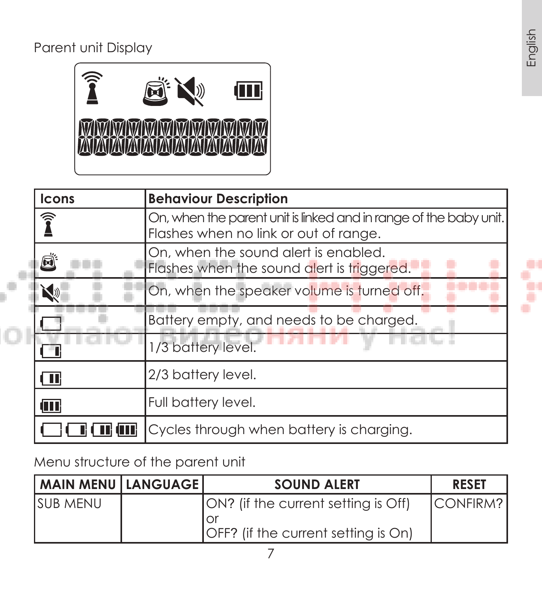Parent unit Display



| Icons                  | <b>Behaviour Description</b>                                                                               |  |
|------------------------|------------------------------------------------------------------------------------------------------------|--|
| $\widehat{\mathbf{I}}$ | On, when the parent unit is linked and in range of the baby unit.<br>Flashes when no link or out of range. |  |
| è                      | On, when the sound alert is enabled.<br>Flashes when the sound alert is triggered.                         |  |
|                        | On, when the speaker volume is turned off.                                                                 |  |
|                        | Battery empty, and needs to be charged.                                                                    |  |
|                        | 1/3 battery level.                                                                                         |  |
| ▏Ш                     | 2/3 battery level.                                                                                         |  |
| Œ                      | Full battery level.                                                                                        |  |
| 1 H                    | Cycles through when battery is charging.                                                                   |  |

#### Menu structure of the parent unit

| <b>MAIN MENU LANGUAGE</b> | <b>SOUND ALERT</b>                                       | <b>RESET</b>     |
|---------------------------|----------------------------------------------------------|------------------|
| Isub menu                 | ON? (if the current setting is Off)                      | <b>ICONFIRM?</b> |
|                           | $\Omega$ r<br><b>OFF?</b> (if the current setting is On) |                  |

a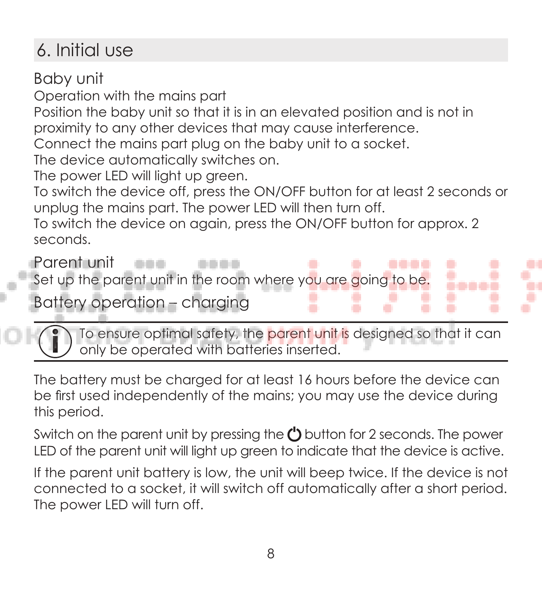## 6. Initial use

Baby unit

Operation with the mains part

Position the baby unit so that it is in an elevated position and is not in proximity to any other devices that may cause interference.

Connect the mains part plug on the baby unit to a socket.

The device automatically switches on.

The power LED will light up green.

To switch the device off, press the ON/OFF button for at least 2 seconds or unplug the mains part. The power LED will then turn off.

To switch the device on again, press the ON/OFF button for approx. 2 seconds.

Parent unit

---Set up the parent unit in the room where you are going to be.

Battery operation – charging

 $0.04$ 

To ensure optimal safety, the parent unit is designed so that it can only be operated with batteries inserted.

The battery must be charged for at least 16 hours before the device can be first used independently of the mains; you may use the device during this period.

Switch on the parent unit by pressing the  $\ddot{C}$  button for 2 seconds. The power LED of the parent unit will light up green to indicate that the device is active.

If the parent unit battery is low, the unit will beep twice. If the device is not connected to a socket, it will switch off automatically after a short period. The power LED will turn off.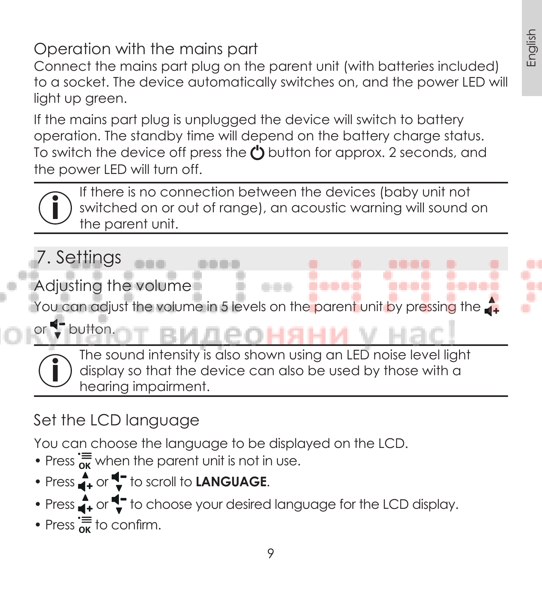#### Operation with the mains part

Connect the mains part plug on the parent unit (with batteries included) to a socket. The device automatically switches on, and the power LED will light up green.

If the mains part plug is unplugged the device will switch to battery operation. The standby time will depend on the battery charge status. To switch the device off press the  $\ddot{b}$  button for approx. 2 seconds, and the power LED will turn off.

If there is no connection between the devices (baby unit not switched on or out of range), an acoustic warning will sound on the parent unit.

## 7. Settings

Adjusting the volume

You can adjust the volume in 5 levels on the parent unit by pressing the  $\Lambda$ 

**button** 

The sound intensity is also shown using an LED noise level light display so that the device can also be used by those with a hearing impairment.

#### Set the LCD language

You can choose the language to be displayed on the LCD.

- Press  $\frac{1}{\sqrt{6}}$  when the parent unit is not in use.
- Press **1.** or  $\blacktriangledown$  to scroll to **LANGUAGE**.
- Press  $\triangle$  or  $\P$  to choose your desired language for the LCD display.
- Press  $\overline{w}$  to confirm.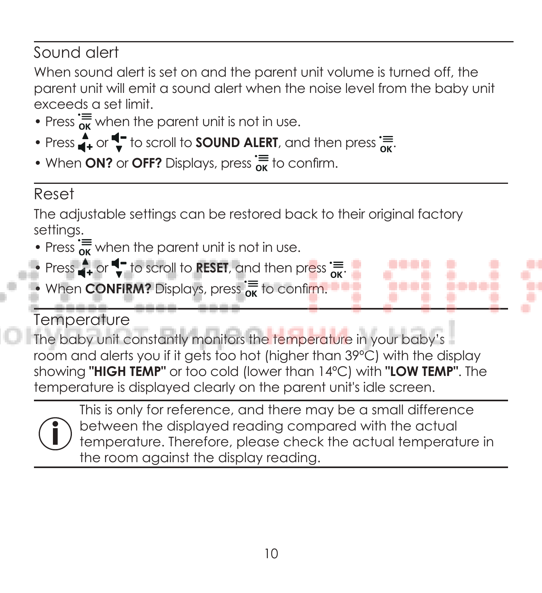#### Sound alert

When sound alert is set on and the parent unit volume is turned off, the parent unit will emit a sound alert when the noise level from the baby unit exceeds a set limit.

- Press  $\frac{1}{\sqrt{n}}$  when the parent unit is not in use.
- Press  $\triangle$ , or  $\blacklozenge$  to scroll to **SOUND ALERT**, and then press  $\frac{1}{\alpha \kappa}$ .
- When **ON?** or **OFF?** Displays, press  $\overline{\mathbf{R}}$  to confirm.

#### Reset

The adjustable settings can be restored back to their original factory settings.

- Press  $\frac{1}{\sqrt{6}}$  when the parent unit is not in use.
- Press  $\triangle$  or  $\blacklozenge$  to scroll to **RESET**, and then press  $\frac{1}{\alpha \kappa}$ .
- When **CONFIRM?** Displays, press  $\overline{\mathbf{F}}$  to confirm.

#### Temperature

The baby unit constantly monitors the temperature in your baby's room and alerts you if it gets too hot (higher than 39ºC) with the display showing **"HIGH TEMP"** or too cold (lower than 14ºC) with **"LOW TEMP"**. The temperature is displayed clearly on the parent unit's idle screen.



This is only for reference, and there may be a small difference between the displayed reading compared with the actual temperature. Therefore, please check the actual temperature in the room against the display reading.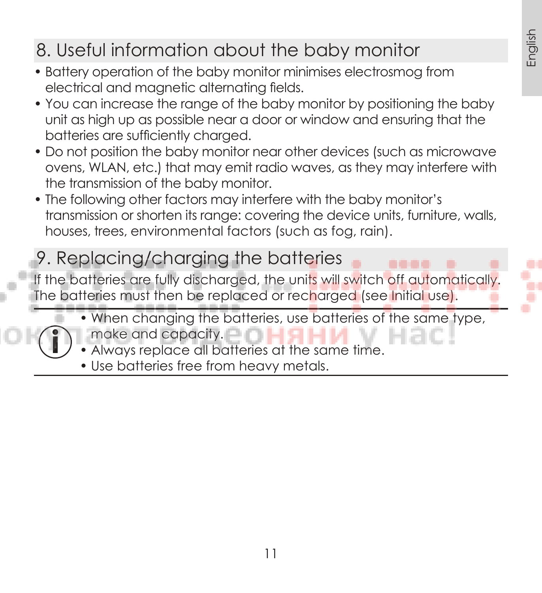## 8. Useful information about the baby monitor

- Battery operation of the baby monitor minimises electrosmog from electrical and magnetic alternating fields.
- You can increase the range of the baby monitor by positioning the baby unit as high up as possible near a door or window and ensuring that the batteries are sufficiently charged.
- Do not position the baby monitor near other devices (such as microwave ovens, WLAN, etc.) that may emit radio waves, as they may interfere with the transmission of the baby monitor.
- The following other factors may interfere with the baby monitor's transmission or shorten its range: covering the device units, furniture, walls, houses, trees, environmental factors (such as fog, rain).

## 9. Replacing/charging the batteries

If the batteries are fully discharged, the units will switch off automatically. The batteries must then be replaced or recharged (see Initial use).

- When changing the batteries, use batteries of the same type,
- 
- make and capacity.
- Always replace all batteries at the same time.
- Use batteries free from heavy metals.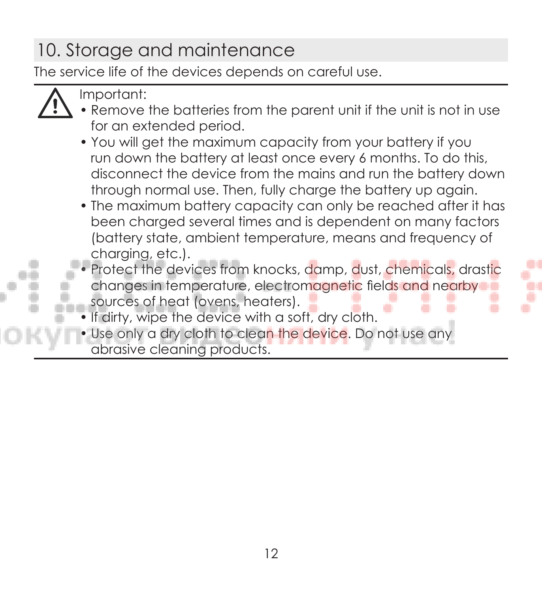## 10. Storage and maintenance

The service life of the devices depends on careful use.

#### Important:

- Remove the batteries from the parent unit if the unit is not in use for an extended period.
- You will get the maximum capacity from your battery if you run down the battery at least once every 6 months. To do this, disconnect the device from the mains and run the battery down through normal use. Then, fully charge the battery up again.
- The maximum battery capacity can only be reached after it has been charged several times and is dependent on many factors (battery state, ambient temperature, means and frequency of charaina, etc.).
- Protect the devices from knocks, damp, dust, chemicals, drastic changes in temperature, electromagnetic fields and nearby sources of heat (ovens, heaters).
- If dirty, wipe the device with a soft, dry cloth.
- Use only a dry cloth to clean the device. Do not use any abrasive cleaning products.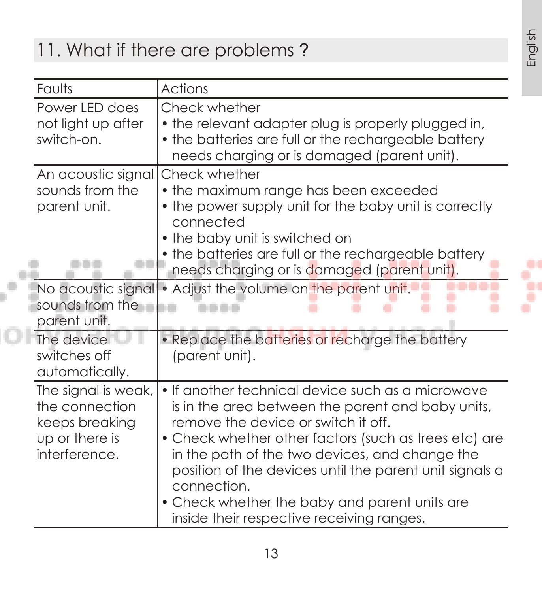## 11. What if there are problems ?

 $\alpha$ Í

| Faults                                                                                     | Actions                                                                                                                                                                                                                                                                                                                                                                                                                          |  |
|--------------------------------------------------------------------------------------------|----------------------------------------------------------------------------------------------------------------------------------------------------------------------------------------------------------------------------------------------------------------------------------------------------------------------------------------------------------------------------------------------------------------------------------|--|
| Power LED does<br>not light up after<br>switch-on.                                         | Check whether<br>• the relevant adapter plug is properly plugged in,<br>• the batteries are full or the rechargeable battery<br>needs charging or is damaged (parent unit).                                                                                                                                                                                                                                                      |  |
| An acoustic signal<br>sounds from the<br>parent unit.                                      | Check whether<br>• the maximum range has been exceeded<br>• the power supply unit for the baby unit is correctly<br>connected<br>• the baby unit is switched on<br>• the batteries are full or the rechargeable battery<br>needs charging or is damaged (parent unit).                                                                                                                                                           |  |
| No acoustic signal<br>sounds from the<br>parent unit.                                      | • Adjust the volume on the parent unit.                                                                                                                                                                                                                                                                                                                                                                                          |  |
| The device<br>switches off<br>automatically.                                               | • Replace the batteries or recharge the battery<br>(parent unit).                                                                                                                                                                                                                                                                                                                                                                |  |
| The signal is weak,<br>the connection<br>keeps breaking<br>up or there is<br>interference. | • If another technical device such as a microwave<br>is in the area between the parent and baby units,<br>remove the device or switch it off.<br>• Check whether other factors (such as trees etc) are<br>in the path of the two devices, and change the<br>position of the devices until the parent unit signals a<br>connection.<br>• Check whether the baby and parent units are<br>inside their respective receiving ranges. |  |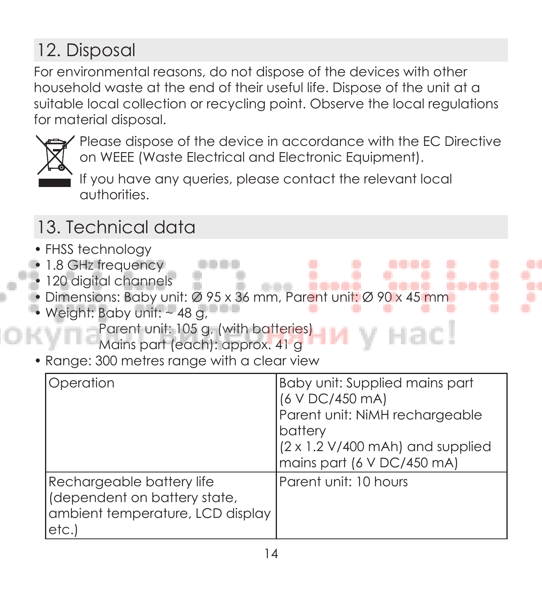## 12. Disposal

For environmental reasons, do not dispose of the devices with other household waste at the end of their useful life. Dispose of the unit at a suitable local collection or recycling point. Observe the local regulations for material disposal.



Please dispose of the device in accordance with the EC Directive on WEEE (Waste Electrical and Electronic Equipment).

If you have any queries, please contact the relevant local authorities.

## 13. Technical data

- FHSS technology
- 1.8 GHz frequency
- 120 digital channels
- Dimensions: Baby unit:  $\varnothing$  95 x 36 mm, Parent unit:  $\varnothing$  90 x 45 mm
- Weight: Baby unit: ~ 48 g,
	- Parent unit: 105 g, (with batteries) Mains part (each): approx. 41 g
- Range: 300 metres range with a clear view

| Operation                        | Baby unit: Supplied mains part                          |
|----------------------------------|---------------------------------------------------------|
|                                  | (6 V DC/450 mA)                                         |
|                                  | Parent unit: NiMH rechargeable                          |
|                                  | battery                                                 |
|                                  | $(2 \times 1.2 \text{ V}/400 \text{ m/h})$ and supplied |
|                                  | mains part (6 V DC/450 mA)                              |
| Rechargeable battery life        | Parent unit: 10 hours                                   |
| (dependent on battery state,     |                                                         |
| ambient temperature, LCD display |                                                         |
| etc.)                            |                                                         |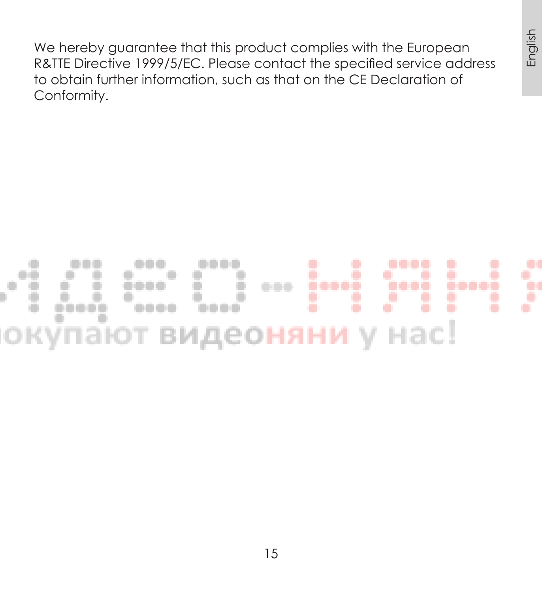We hereby guarantee that this product complies with the European R&TTE Directive 1999/5/EC. Please contact the specified service address to obtain further information, such as that on the CE Declaration of Conformity.

English

#### ä a. ..... ä тают видео**няни** у нас!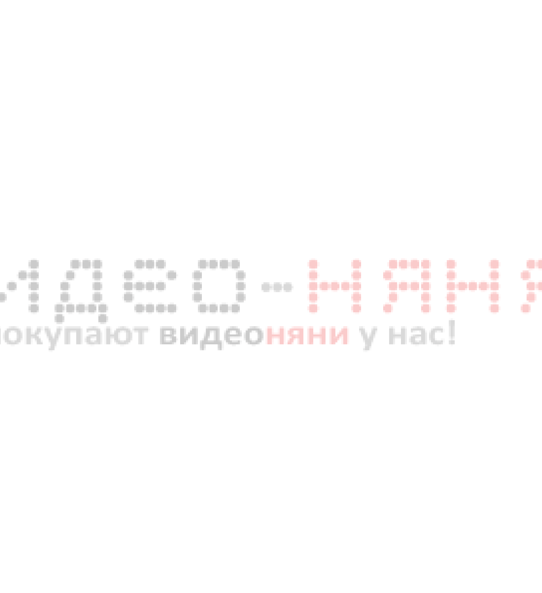$\begin{array}{cccccc} 0 & 0 & 0 & 0 & 0 & 0 & 0 & 0 & 0 \\ 0 & 0 & 0 & 0 & 0 & 0 & 0 & 0 \\ 0 & 0 & 0 & 0 & 0 & 0 & 0 & 0 \\ 0 & 0 & 0 & 0 & 0 & 0 & 0 & 0 \\ 0 & 0 & 0 & 0 & 0 & 0 & 0 & 0 \\ 0 & 0 & 0 & 0 & 0 & 0 & 0 & 0 \\ \end{array}$ **MO** M окупают видеоняни у нас!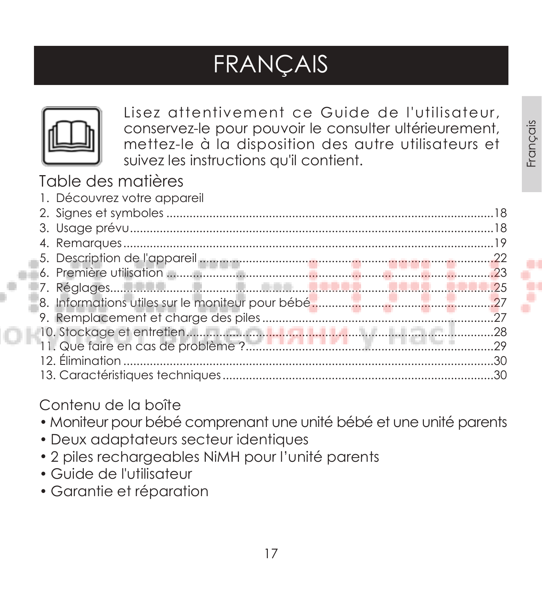## **FRANÇAIS**



Lisez attentivement ce Guide de l'utilisateur, conservez-le pour pouvoir le consulter ultérieurement, mettez-le à la disposition des autre utilisateurs et suivez les instructions qu'il contient.

Français

Table des matières

| 1. Découvrez votre appareil |  |
|-----------------------------|--|
|                             |  |
|                             |  |
|                             |  |
|                             |  |
|                             |  |
|                             |  |
|                             |  |
|                             |  |
|                             |  |
|                             |  |
|                             |  |
|                             |  |
|                             |  |

#### Contenu de la boîte

- Moniteur pour bébé comprenant une unité bébé et une unité parents
- Deux adaptateurs secteur identiques
- 2 piles rechargeables NiMH pour l'unité parents
- Guide de l'utilisateur
- Garantie et réparation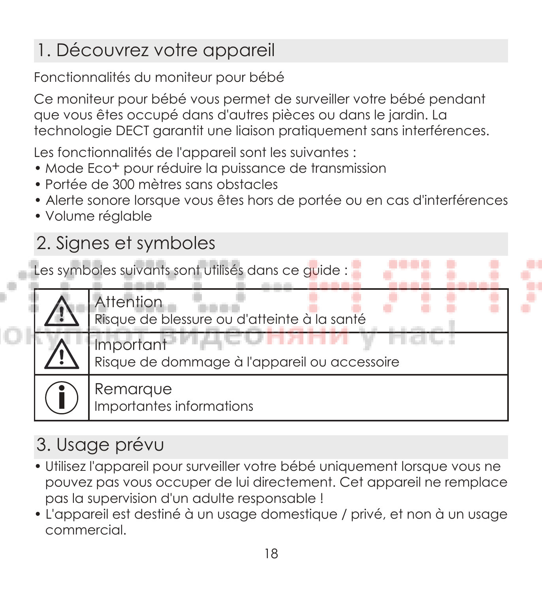## 1. Découvrez votre appareil

Fonctionnalités du moniteur pour bébé

Ce moniteur pour bébé vous permet de surveiller votre bébé pendant que vous êtes occupé dans d'autres pièces ou dans le jardin. La technologie DECT garantit une liaison pratiquement sans interférences.

Les fonctionnalités de l'appareil sont les suivantes :

- Mode Eco+ pour réduire la puissance de transmission
- Portée de 300 mètres sans obstacles
- Alerte sonore lorsque vous êtes hors de portée ou en cas d'interférences
- Volume réglable

## 2. Signes et symboles

Les symboles suivants sont utilisés dans ce guide :

**Attention** Risque de blessure ou d'atteinte à la santé Important Risque de dommage à l'appareil ou accessoire Remarque Importantes informations

٠

## 3. Usage prévu

- Utilisez l'appareil pour surveiller votre bébé uniquement lorsque vous ne pouvez pas vous occuper de lui directement. Cet appareil ne remplace pas la supervision d'un adulte responsable !
- L'appareil est destiné à un usage domestique / privé, et non à un usage commercial.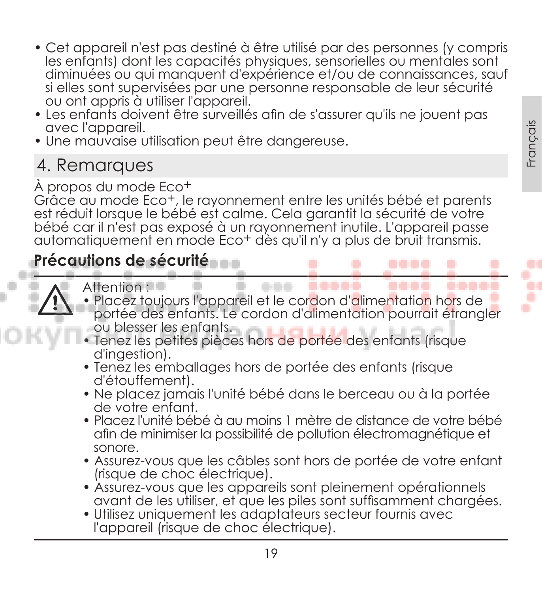- Cet appareil n'est pas destiné à être utilisé par des personnes (y compris les enfants) dont les capacités physiques, sensorielles ou mentales sont diminuées ou qui manquent d'expérience et/ou de connaissances, sauf si elles sont supervisées par une personne responsable de leur sécurité ou ont appris à utiliser l'appareil.
- Les enfants doivent être surveillés afin de s'assurer qu'ils ne jouent pas avec l'appareil.
- Une mauvaise utilisation peut être dangereuse.

## 4. Remarques

#### À propos du mode Eco+

Grâce au mode Eco+, le rayonnement entre les unités bébé et parents est réduit lorsque le bébé est calme. Cela garantit la sécurité de votre bébé car il n'est pas exposé à un rayonnement inutile. L'appareil passe automatiquement en mode Eco+ dès qu'il n'y a plus de bruit transmis.

## **Précautions de sécurité**

- Attention :
- Placez toujours l'appareil et le cordon d'alimentation hors de portée des enfants. Le cordon d'alimentation pourrait étrangler ou blesser les enfants.
- Tenez les petites pièces hors de portée des enfants (risque d'ingestion).
- Tenez les emballages hors de portée des enfants (risque d'étouffement).
- Ne placez jamais l'unité bébé dans le berceau ou à la portée de votre enfant.
- Placez l'unité bébé à au moins 1 mètre de distance de votre bébé afin de minimiser la possibilité de pollution électromagnétique et sonore.
- Assurez-vous que les câbles sont hors de portée de votre enfant (risque de choc électrique).
- Assurez-vous que les appareils sont pleinement opérationnels avant de les utiliser, et que les piles sont suffisamment chargées.
- Utilisez uniquement les adaptateurs secteur fournis avec l'appareil (risque de choc électrique).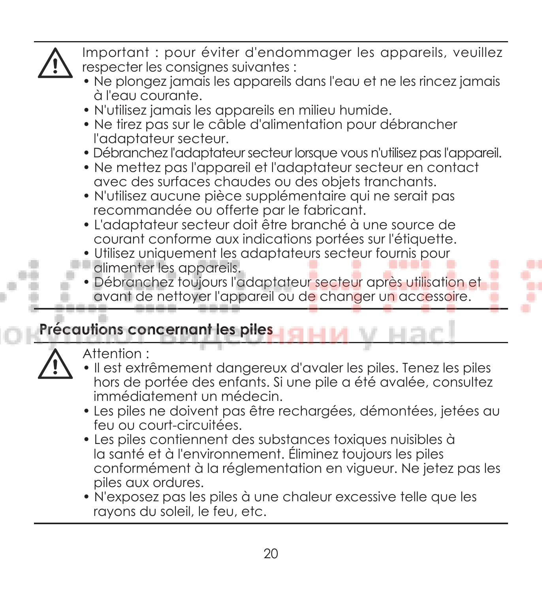

Important : pour éviter d'endommager les appareils, veuillez respecter les consignes suivantes :

- Ne plongez jamais les appareils dans l'eau et ne les rincez jamais à l'eau courante.
- N'utilisez jamais les appareils en milieu humide.
- Ne tirez pas sur le câble d'alimentation pour débrancher l'adaptateur secteur.
- Débranchez l'adaptateur secteur lorsque vous n'utilisez pas l'appareil.
- Ne mettez pas l'appareil et l'adaptateur secteur en contact avec des surfaces chaudes ou des objets tranchants.
- N'utilisez aucune pièce supplémentaire qui ne serait pas recommandée ou offerte par le fabricant.
- L'adaptateur secteur doit être branché à une source de courant conforme aux indications portées sur l'étiquette.
- Utilisez uniquement les adaptateurs secteur fournis pour
- alimenter les appareils.
- Débranchez toujours l'adaptateur secteur après utilisation et avant de nettoyer l'appareil ou de changer un accessoire.

#### **Précautions concernant les piles**



Attention ·

- Il est extrêmement dangereux d'avaler les piles. Tenez les piles hors de portée des enfants. Si une pile a été avalée, consultez immédiatement un médecin.
- Les piles ne doivent pas être rechargées, démontées, jetées au feu ou court-circuitées.
- Les piles contiennent des substances toxiques nuisibles à la santé et à l'environnement. Éliminez toujours les piles conformément à la réglementation en vigueur. Ne jetez pas les piles aux ordures.
- N'exposez pas les piles à une chaleur excessive telle que les rayons du soleil, le feu, etc.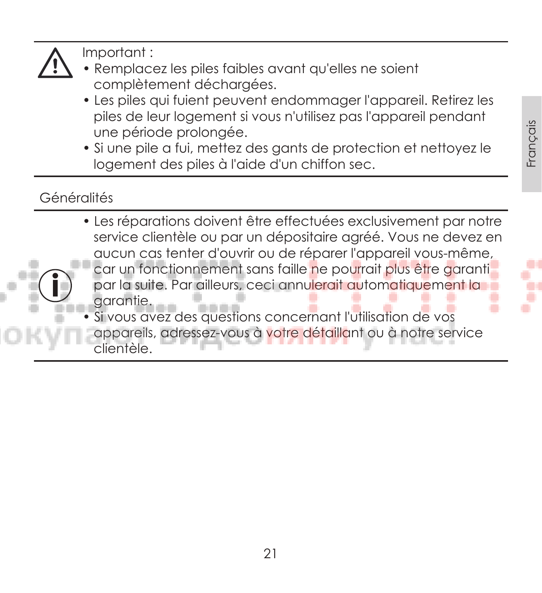

Important :

- Remplacez les piles faibles avant qu'elles ne soient complètement déchargées.
- Les piles qui fuient peuvent endommager l'appareil. Retirez les piles de leur logement si vous n'utilisez pas l'appareil pendant une période prolongée.
- Si une pile a fui, mettez des gants de protection et nettoyez le logement des piles à l'aide d'un chiffon sec.

#### Généralités

- Les réparations doivent être effectuées exclusivement par notre service clientèle ou par un dépositaire agréé. Vous ne devez en aucun cas tenter d'ouvrir ou de réparer l'appareil vous-même,
	- car un fonctionnement sans faille ne pourrait plus être garanti par la suite. Par ailleurs, ceci annulerait automatiquement la garantie.
- Si vous avez des questions concernant l'utilisation de vos appareils, adressez-vous à votre détaillant ou à notre service clientèle.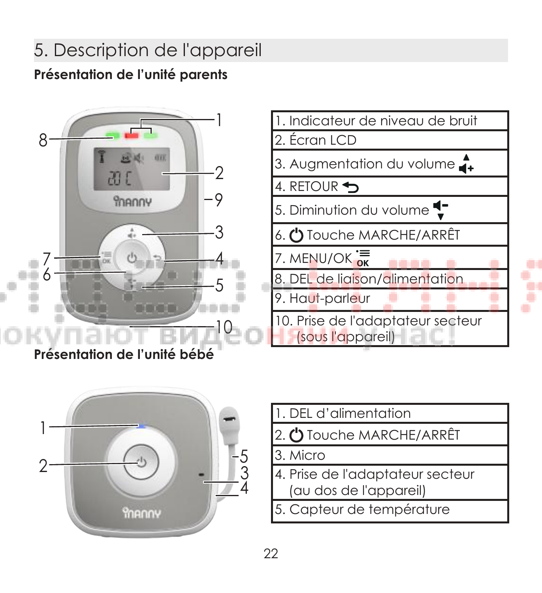## 5. Description de l'appareil

#### **Présentation de l'unité parents**





- 1. DEL d'alimentation
- 2. Touche MARCHE/ARRÊT

3. Micro

- 4. Prise de l'adaptateur secteur (au dos de l'appareil)
- 5. Capteur de température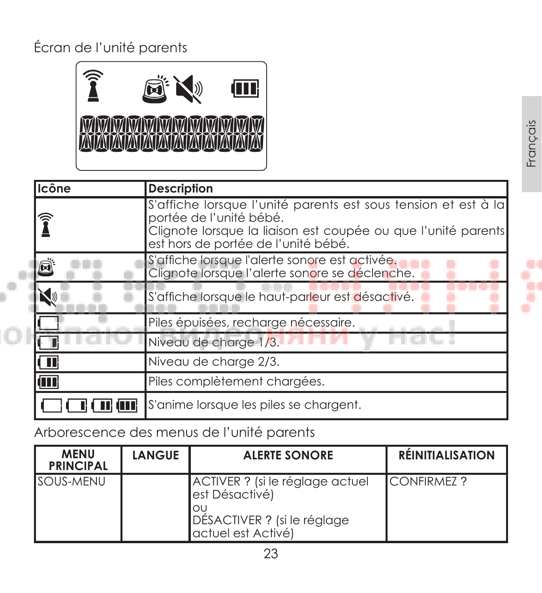#### Écran de l'unité parents



| Icône | <b>Description</b>                                                                                                                                                                                |  |
|-------|---------------------------------------------------------------------------------------------------------------------------------------------------------------------------------------------------|--|
| ร     | S'affiche lorsque l'unité parents est sous tension et est à la<br>portée de l'unité bébé.<br>Clignote lorsque la liaison est coupée ou que l'unité parents<br>est hors de portée de l'unité bébé. |  |
| E     | S'affiche lorsque l'alerte sonore est activée.<br>Clignote lorsque l'alerte sonore se déclenche.                                                                                                  |  |
|       | S'affiche lorsque le haut-parleur est désactivé.                                                                                                                                                  |  |
|       | Piles épuisées, recharge nécessaire.                                                                                                                                                              |  |
|       | Niveau de charge 1/3.                                                                                                                                                                             |  |
| Т     | Niveau de charge 2/3.                                                                                                                                                                             |  |
| Œ     | Piles complètement chargées.                                                                                                                                                                      |  |
|       | S'anime lorsque les piles se chargent.                                                                                                                                                            |  |

#### Arborescence des menus de l'unité parents

| <b>MENU</b><br><b>PRINCIPAL</b> | <b>LANGUE</b> | <b>ALERTE SONORE</b>                                                                                          | <b>RÉINITIALISATION</b> |
|---------------------------------|---------------|---------------------------------------------------------------------------------------------------------------|-------------------------|
| <b>SOUS-MENU</b>                |               | ACTIVER ? (si le réglage actuel<br>est Désactivé)<br>ΙOU<br>DÉSACTIVER ? (si le réglage<br>actuel est Activé) | <b>ICONFIRMEZ ?</b>     |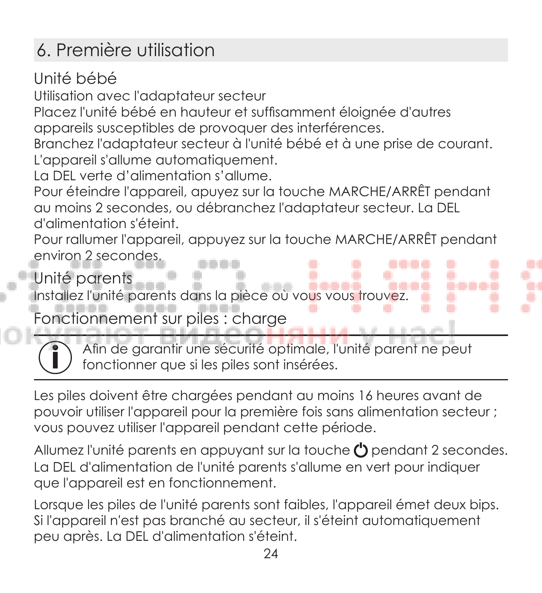## 6. Première utilisation

Unité bébé

Utilisation avec l'adaptateur secteur

Placez l'unité bébé en hauteur et suffisamment éloignée d'autres appareils susceptibles de provoquer des interférences.

Branchez l'adaptateur secteur à l'unité bébé et à une prise de courant. L'appareil s'allume automatiquement.

La DEL verte d'alimentation s'allume.

Pour éteindre l'appareil, apuyez sur la touche MARCHE/ARRÊT pendant au moins 2 secondes, ou débranchez l'adaptateur secteur. La DEL d'alimentation s'éteint.

Pour rallumer l'appareil, appuyez sur la touche MARCHE/ARRÊT pendant environ 2 secondes.

Unité parents

Installez l'unité parents dans la pièce où vous vous trouvez.

Fonctionnement sur piles : charge

Afin de garantir une sécurité optimale, l'unité parent ne peut fonctionner que si les piles sont insérées.

Les piles doivent être chargées pendant au moins 16 heures avant de pouvoir utiliser l'appareil pour la première fois sans alimentation secteur ; vous pouvez utiliser l'appareil pendant cette période.

Allumez l'unité parents en appuyant sur la touche (<sup>t</sup>) pendant 2 secondes. La DEL d'alimentation de l'unité parents s'allume en vert pour indiquer que l'appareil est en fonctionnement.

Lorsque les piles de l'unité parents sont faibles, l'appareil émet deux bips. Si l'appareil n'est pas branché au secteur, il s'éteint automatiquement peu après. La DEL d'alimentation s'éteint.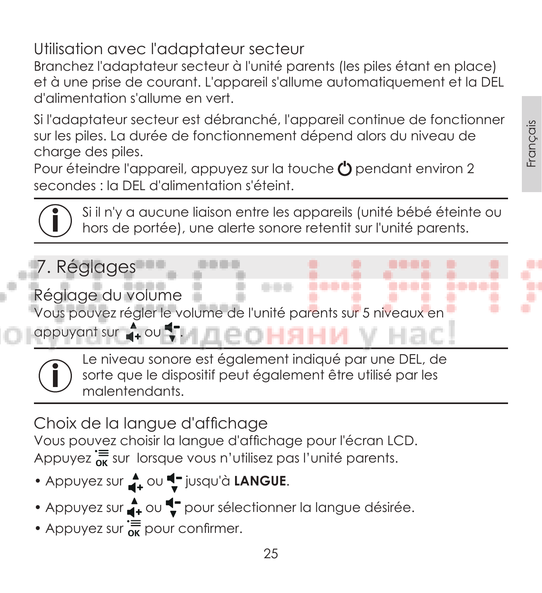Français

#### Utilisation avec l'adaptateur secteur

Branchez l'adaptateur secteur à l'unité parents (les piles étant en place) et à une prise de courant. L'appareil s'allume automatiquement et la DEL d'alimentation s'allume en vert.

Si l'adaptateur secteur est débranché, l'appareil continue de fonctionner sur les piles. La durée de fonctionnement dépend alors du niveau de charge des piles.

Pour éteindre l'appareil, appuyez sur la touche (<sup>1</sup>) pendant environ 2 secondes : la DEL d'alimentation s'éteint

Si il n'y a aucune liaison entre les appareils (unité bébé éteinte ou hors de portée), une alerte sonore retentit sur l'unité parents.

#### 7. Réglages

Réglage du volume

Vous pouvez régler le volume de l'unité parents sur 5 niveaux en appuyant sur  $\Lambda$  ou  $\blacksquare$ 

Le niveau sonore est également indiqué par une DEL, de sorte que le dispositif peut également être utilisé par les malentendants.

Choix de la langue d'affichage Vous pouvez choisir la langue d'affichage pour l'écran LCD. Appuvez  $\mathbb{R}$  sur lorsque vous n'utilisez pas l'unité parents.

- Appuyez sur 4 ou <sup>1</sup> jusqu'à LANGUE.
- Appuyez sur 4 ou + pour sélectionner la langue désirée.
- Appuyez sur  $\mathbf{F} = \mathbf{F}$  pour confirmer.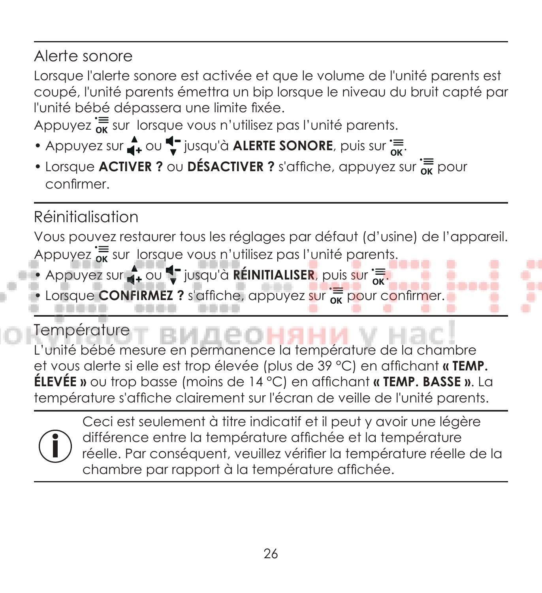#### Alerte sonore

Lorsque l'alerte sonore est activée et que le volume de l'unité parents est coupé, l'unité parents émettra un bip lorsque le niveau du bruit capté par l'unité bébé dépassera une limite fixée.

Appuvez  $\equiv$  sur lorsque vous n'utilisez pas l'unité parents.

- Appuyez sur  $\stackrel{4}{\bullet}$  ou  $\stackrel{4}{\bullet}$  jusqu'à **ALERTE SONORE**, puis sur  $\stackrel{1}{\phantom{a}}\equiv$
- Lorsque **ACTIVER ?** ou **DÉSACTIVER ?** s'affiche, appuyez sur  $\frac{1}{2K}$  pour confirmer.

#### Réinitialisation

Vous pouvez restaurer tous les réglages par défaut (d'usine) de l'appareil. Appuyez  $\mathbb{R}$  sur lorsque vous n'utilisez pas l'unité parents.

- Appuyez sur  $\stackrel{\triangle}{\phantom{}_{\sim}}$  ou  $\stackrel{\triangle}{\phantom{}_{\sim}}$  jusqu'à **RÉINITIALISER**, puis sur  $\stackrel{\equiv}{\phantom{}_{\sim}}$ .
- Lorsque **CONFIRMEZ ?** s'affiche, appuyez sur **pour confirmer.**

## Température

L'unité bébé mesure en permanence la température de la chambre et vous alerte si elle est trop élevée (plus de 39 °C) en affichant **« TEMP. ÉLEVÉE »** ou trop basse (moins de 14 °C) en affichant **« TEMP. BASSE »**. La température s'affiche clairement sur l'écran de veille de l'unité parents.



Ceci est seulement à titre indicatif et il peut y avoir une légère différence entre la température affichée et la température réelle. Par conséquent, veuillez vérifier la température réelle de la chambre par rapport à la température affichée.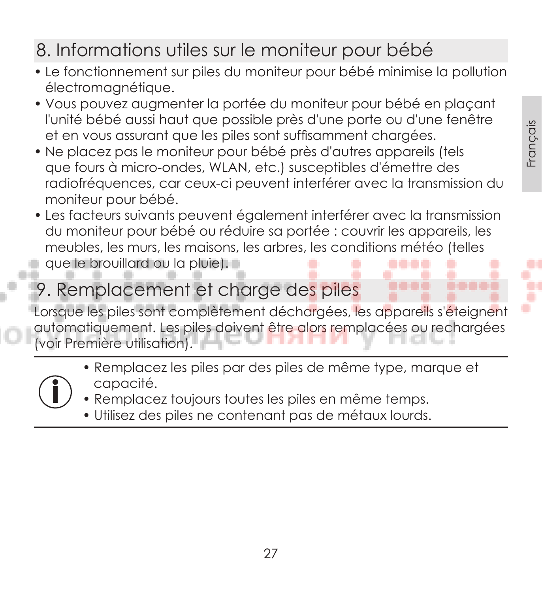## 8. Informations utiles sur le moniteur pour bébé

- Le fonctionnement sur piles du moniteur pour bébé minimise la pollution électromagnétique.
- Vous pouvez augmenter la portée du moniteur pour bébé en plaçant l'unité bébé aussi haut que possible près d'une porte ou d'une fenêtre et en vous assurant que les piles sont suffisamment chargées.
- Ne placez pas le moniteur pour bébé près d'autres appareils (tels que fours à micro-ondes, WLAN, etc.) susceptibles d'émettre des radiofréquences, car ceux-ci peuvent interférer avec la transmission du moniteur pour bébé.
- Les facteurs suivants peuvent également interférer avec la transmission du moniteur pour bébé ou réduire sa portée : couvrir les appareils, les meubles, les murs, les maisons, les arbres, les conditions météo (telles que le brouillard ou la pluie).
- 

#### 9. Remplacement et charge des piles

Lorsque les piles sont complètement déchargées, les appareils s'éteignent automatiquement. Les piles doivent être alors remplacées ou rechargées (voir Première utilisation).

- Remplacez les piles par des piles de même type, marque et
- capacité.
- Remplacez toujours toutes les piles en même temps.
- Utilisez des piles ne contenant pas de métaux lourds.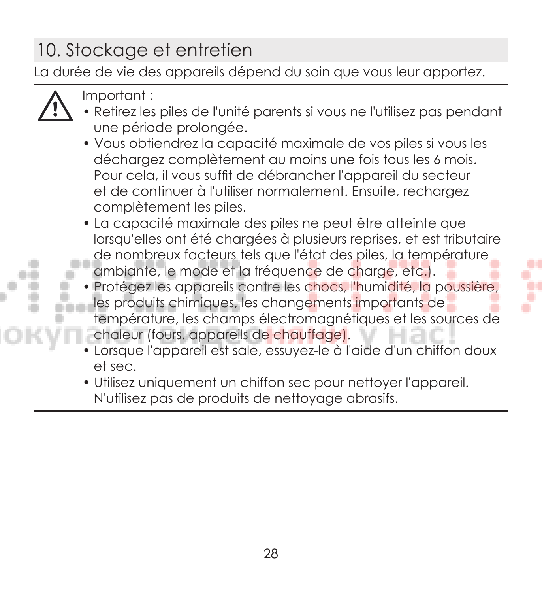## 10. Stockage et entretien

La durée de vie des appareils dépend du soin que vous leur apportez.



- Important :
- Retirez les piles de l'unité parents si vous ne l'utilisez pas pendant une période prolongée.
- Vous obtiendrez la capacité maximale de vos piles si vous les déchargez complètement au moins une fois tous les 6 mois. Pour cela, il vous suffit de débrancher l'appareil du secteur et de continuer à l'utiliser normalement. Ensuite, rechargez complètement les piles.
- La capacité maximale des piles ne peut être atteinte que lorsqu'elles ont été chargées à plusieurs reprises, et est tributaire de nombreux facteurs tels que l'état des piles, la température
- ambiante, le mode et la fréquence de charge, etc.).
- Protégez les appareils contre les chocs, l'humidité, la poussière,
- les produits chimiques, les changements importants de température, les champs électromagnétiques et les sources de chaleur (fours, appareils de chauffage).
- Lorsque l'appareil est sale, essuyez-le à l'aide d'un chiffon doux et sec.
- Utilisez uniquement un chiffon sec pour nettoyer l'appareil. N'utilisez pas de produits de nettoyage abrasifs.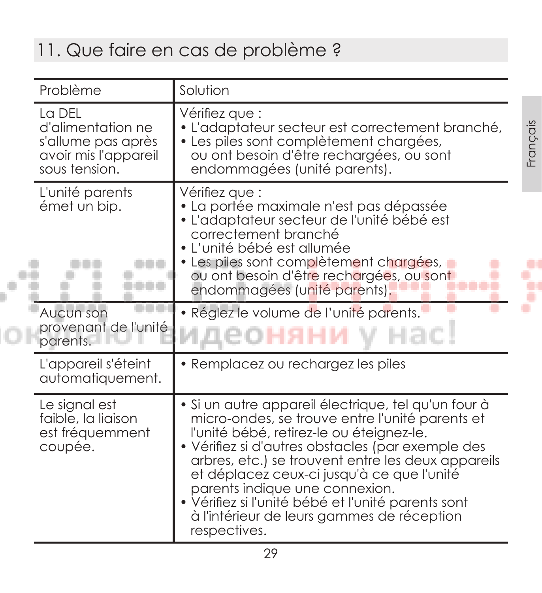## 11. Que faire en cas de problème ?

| Problème                                                                                   | Solution                                                                                                                                                                                                                                                                                                                                                                                                                                                          |          |
|--------------------------------------------------------------------------------------------|-------------------------------------------------------------------------------------------------------------------------------------------------------------------------------------------------------------------------------------------------------------------------------------------------------------------------------------------------------------------------------------------------------------------------------------------------------------------|----------|
| La DEL<br>d'alimentation ne<br>s'allume pas après<br>avoir mis l'appareil<br>sous tension. | Vérifiez que :<br>• L'adaptateur secteur est correctement branché,<br>• Les piles sont complètement chargées,<br>ou ont besoin d'être rechargées, ou sont<br>endommagées (unité parents).                                                                                                                                                                                                                                                                         | Français |
| L'unité parents<br>émet un bip.                                                            | Vérifiez que :<br>• La portée maximale n'est pas dépassée<br>• L'adaptateur secteur de l'unité bébé est<br>correctement branché<br>• L'unité bébé est allumée<br>• Les piles sont complètement chargées,<br>ou ont besoin d'être rechargées, ou sont<br>endommagées (unité parents).                                                                                                                                                                              |          |
| Aucun son<br>provenant de l'unité<br>parents.                                              | · Réglez le volume de l'unité parents.                                                                                                                                                                                                                                                                                                                                                                                                                            |          |
| L'appareil s'éteint<br>automatiquement.                                                    | • Remplacez ou rechargez les piles                                                                                                                                                                                                                                                                                                                                                                                                                                |          |
| Le signal est<br>faible, la liaison<br>est fréquemment<br>coupée.                          | • Si un autre appareil électrique, tel qu'un four à<br>micro-ondes, se trouve entre l'unité parents et<br>l'unité bébé, retirez-le ou éteignez-le.<br>· Vérifiez si d'autres obstacles (par exemple des<br>arbres, etc.) se trouvent entre les deux appareils<br>et déplacez ceux-ci jusqu'à ce que l'unité<br>parents indique une connexion.<br>• Vérifiez si l'unité bébé et l'unité parents sont<br>à l'intérieur de leurs gammes de réception<br>respectives. |          |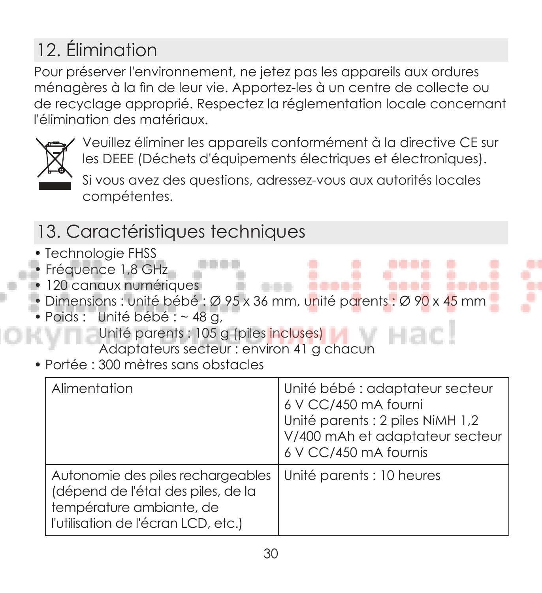## 12. Élimination

Pour préserver l'environnement, ne jetez pas les appareils aux ordures ménagères à la fin de leur vie. Apportez-les à un centre de collecte ou de recyclage approprié. Respectez la réglementation locale concernant l'élimination des matériaux.

Veuillez éliminer les appareils conformément à la directive CE sur les DEEE (Déchets d'équipements électriques et électroniques).

Si vous avez des questions, adressez-vous aux autorités locales compétentes.

| 13. Caractéristiques techniques                                                                                                                                                                                                                                                                                |                                                                                                                                                         |  |
|----------------------------------------------------------------------------------------------------------------------------------------------------------------------------------------------------------------------------------------------------------------------------------------------------------------|---------------------------------------------------------------------------------------------------------------------------------------------------------|--|
| • Technologie FHSS<br>· Fréquence 1,8 GHz<br>· 120 canaux numériques<br>• Dimensions : unité bébé : Ø 95 x 36 mm, unité parents : Ø 90 x 45 mm<br>· Poids: Unité bébé : ~ 48 g,<br>Unité parents : 105 g (piles incluses)<br>Adaptateurs secteur : environ 41 g chacun<br>• Portée : 300 mètres sans obstacles |                                                                                                                                                         |  |
| Alimentation                                                                                                                                                                                                                                                                                                   | Unité bébé : adaptateur secteur<br>6 V CC/450 mA fourni<br>Unité parents : 2 piles NiMH 1,2<br>V/400 mAh et adaptateur secteur<br>6 V CC/450 mA fournis |  |
| Autonomie des piles rechargeables<br>(dépend de l'état des piles, de la<br>température ambiante, de<br>l'utilisation de l'écran LCD, etc.)                                                                                                                                                                     | Unité parents : 10 heures                                                                                                                               |  |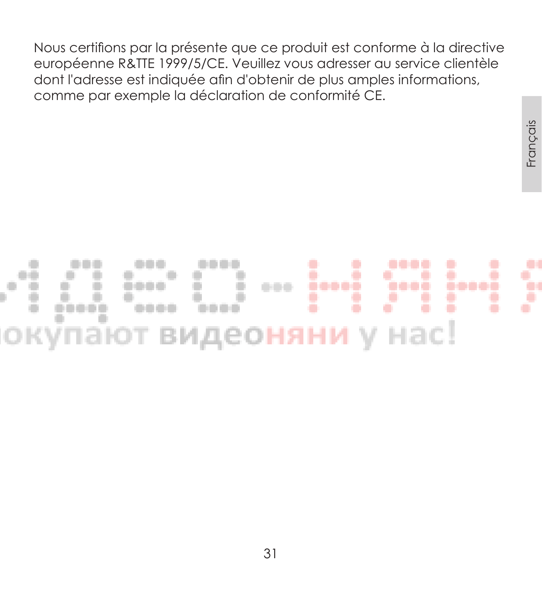Nous certifions par la présente que ce produit est conforme à la directive européenne R&TTE 1999/5/CE. Veuillez vous adresser au service clientèle dont l'adresse est indiquée afin d'obtenir de plus amples informations, comme par exemple la déclaration de conformité CE.

Français

#### ä a. ----当当当当 т виде**оняни** у нас! O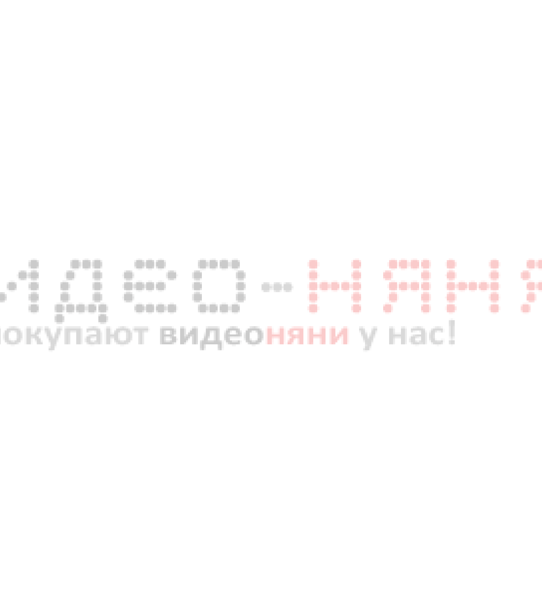$\begin{array}{cccccc} 0 & 0 & 0 & 0 & 0 & 0 & 0 & 0 & 0 \\ 0 & 0 & 0 & 0 & 0 & 0 & 0 & 0 \\ 0 & 0 & 0 & 0 & 0 & 0 & 0 & 0 \\ 0 & 0 & 0 & 0 & 0 & 0 & 0 & 0 \\ 0 & 0 & 0 & 0 & 0 & 0 & 0 & 0 \\ 0 & 0 & 0 & 0 & 0 & 0 & 0 & 0 \\ \end{array}$ **MO** M окупают видеоняни у нас!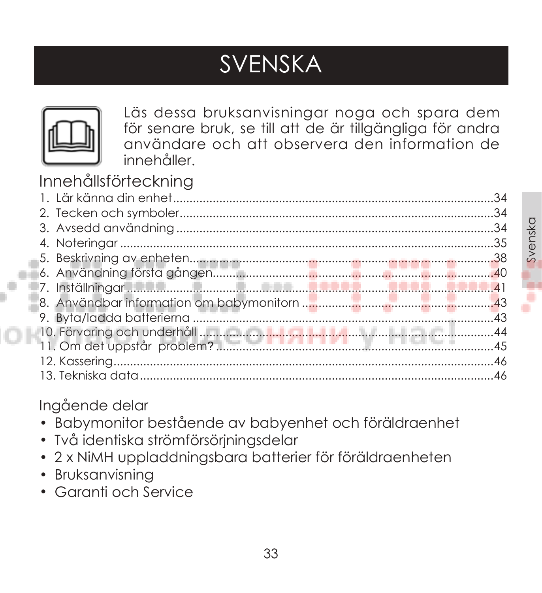## SVENSKA



Läs dessa bruksanvisningar noga och spara dem för senare bruk, se till att de är tillgängliga för andra användare och att observera den information de innehåller.

Svenska

#### Innehållsförteckning

#### Ingående delar

- Babymonitor bestående av babyenhet och föräldraenhet
- Två identiska strömförsörjningsdelar
- 2 x NiMH uppladdningsbara batterier för föräldraenheten
- Bruksanvisning
- Garanti och Service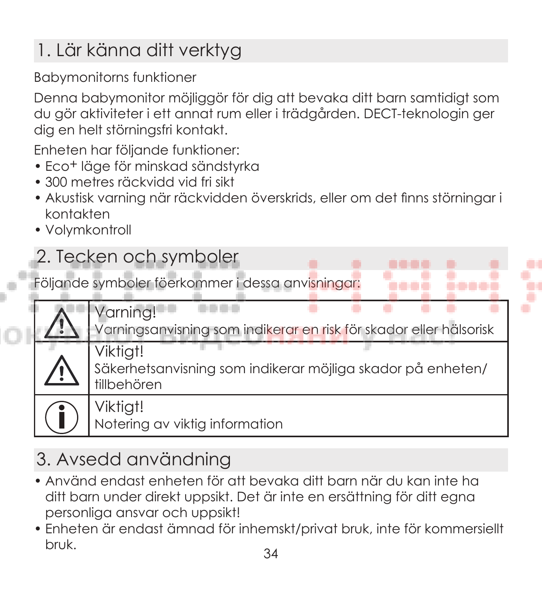## 1. Lär känna ditt verktyg

Babymonitorns funktioner

Denna babymonitor möjliggör för dig att bevaka ditt barn samtidigt som du gör aktiviteter i ett annat rum eller i trädgården. DECT-teknologin ger dig en helt störningsfri kontakt.

Enheten har följande funktioner:

- Eco+ läge för minskad sändstyrka
- 300 metres räckvidd vid fri sikt
- • Akustisk varning när räckvidden överskrids, eller om det finns störningar i kontakten
- Volymkontroll

#### 2. Tecken och symboler Följande symboler föerkommer i dessa anvisningar: 0.0.0.0 Varning! Varningsanvisning som indikerar en risk för skador eller hälsorisk Viktiat! Säkerhetsanvisning som indikerar möjliga skador på enheten/ tillbehören Viktiat! Notering av viktig information

## 3. Avsedd användning

- Använd endast enheten för att bevaka ditt barn när du kan inte ha ditt barn under direkt uppsikt. Det är inte en ersättning för ditt egna personliga ansvar och uppsikt!
- Enheten är endast ämnad för inhemskt/privat bruk, inte för kommersiellt bruk.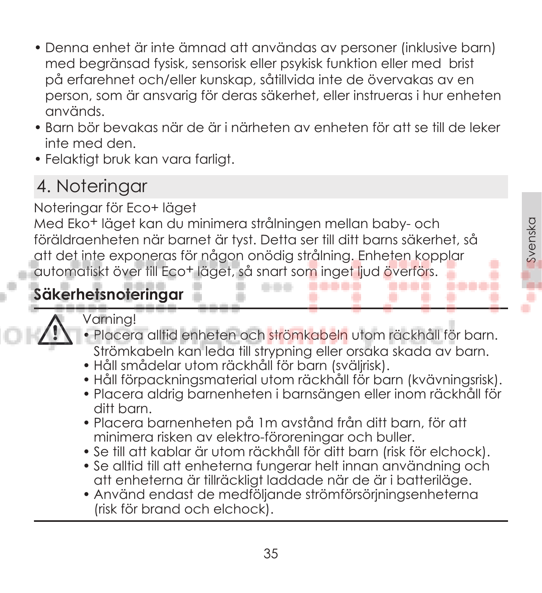- Denna enhet är inte ämnad att användas av personer (inklusive barn) med begränsad fysisk, sensorisk eller psykisk funktion eller med brist på erfarehnet och/eller kunskap, såtillvida inte de övervakas av en person, som är ansvarig för deras säkerhet, eller instrueras i hur enheten används.
- Barn bör bevakas när de är i närheten av enheten för att se till de leker inte med den.
- Felaktigt bruk kan vara farligt.

## 4. Noteringar

Noteringar för Eco+ läget

Med Eko+ läget kan du minimera strålningen mellan baby- och föräldraenheten när barnet är tyst. Detta ser till ditt barns säkerhet, så att det inte exponeras för någon onödig strålning. Enheten kopplar automatiskt över till Eco+ läget, så snart som inget ljud överförs.

## **Säkerhetsnoteringar**

#### Varning!

• Placera alltid enheten och strömkabeln utom räckhåll för barn. Strömkabeln kan leda till strypning eller orsaka skada av barn.

Svenska

- Håll smådelar utom räckhåll för barn (sväljrisk).
- Håll förpackningsmaterial utom räckhåll för barn (kvävningsrisk).
- Placera aldrig barnenheten i barnsängen eller inom räckhåll för ditt barn.
- Placera barnenheten på 1m avstånd från ditt barn, för att minimera risken av elektro-föroreningar och buller.
- Se till att kablar är utom räckhåll för ditt barn (risk för elchock).
- Se alltid till att enheterna fungerar helt innan användning och att enheterna är tillräckligt laddade när de är i batteriläge.
- Använd endast de medföljande strömförsörjningsenheterna (risk för brand och elchock).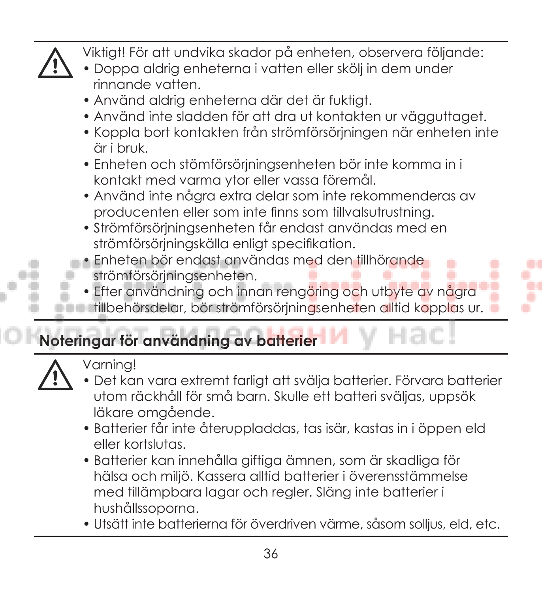

- Batterier får inte återuppladdas, tas isär, kastas in i öppen eld eller kortslutas.
- Batterier kan innehålla giftiga ämnen, som är skadliga för hälsa och miljö. Kassera alltid batterier i överensstämmelse med tillämpbara lagar och regler. Släng inte batterier i hushållssoporna.
- Utsätt inte batterierna för överdriven värme, såsom solljus, eld, etc.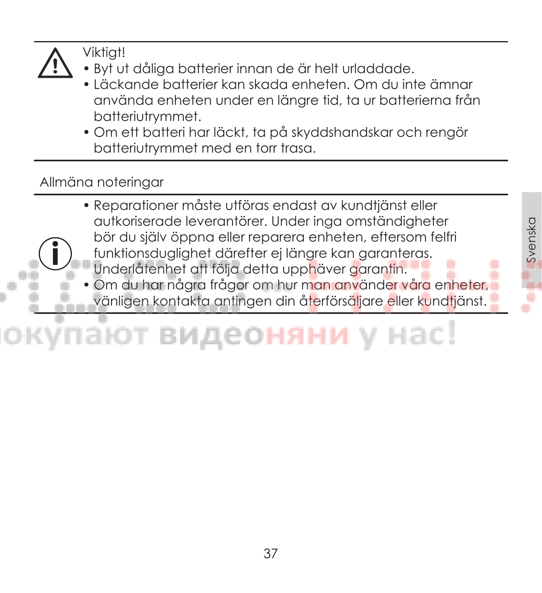

Viktiat!

- Byt ut dåliga batterier innan de är helt urladdade.
- Läckande batterier kan skada enheten. Om du inte ämnar använda enheten under en längre tid, ta ur batterierna från batteriutrymmet.
- Om ett batteri har läckt, ta på skyddshandskar och rengör batteriutrymmet med en torr trasa.

Allmäna noteringar

• Reparationer måste utföras endast av kundtjänst eller autkoriserade leverantörer. Under inga omständigheter bör du själv öppna eller reparera enheten, eftersom felfri funktionsduglighet därefter ej längre kan garanteras.

- Underlåtenhet att följa detta upphäver garantin.
- Om du har några frågor om hur man använder våra enheter, vänligen kontakta antingen din återförsäljare eller kundtjänst.

## т видеоняни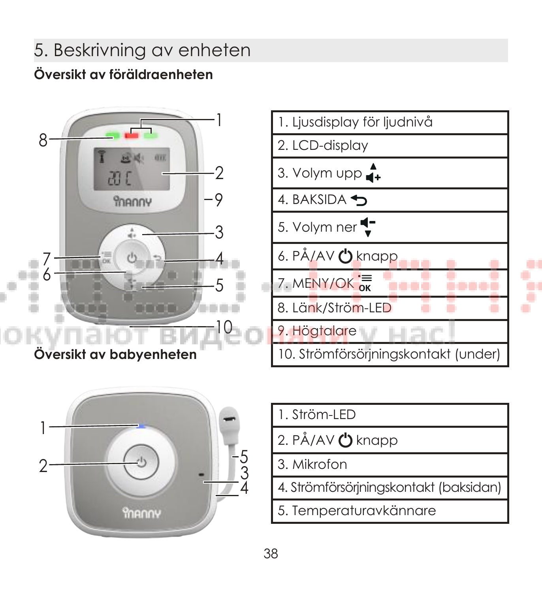## 5. Beskrivning av enheten

#### **Översikt av föräldraenheten**





|  |  | 1. Ström-LED |  |
|--|--|--------------|--|
|--|--|--------------|--|

- 2.  $PÅ/AV$   $\bullet$  knapp
- 3. Mikrofon
- 4. Strömförsörjningskontakt (baksidan)
- 5. Temperaturavkännare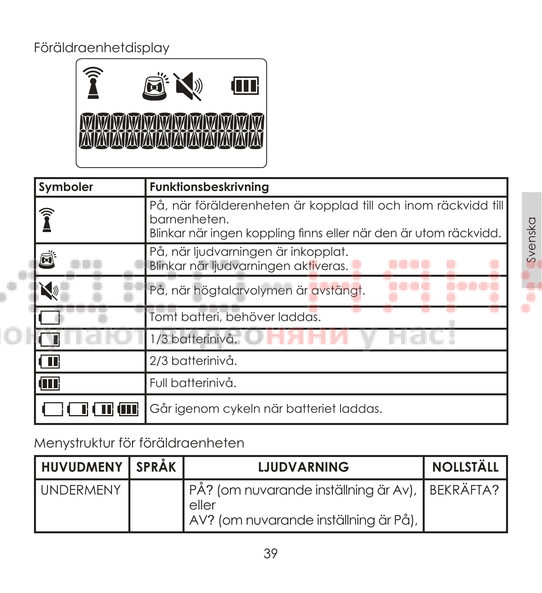#### Föräldraenhetdisplay



| Symboler | Funktionsbeskrivning                                                                                                                               |
|----------|----------------------------------------------------------------------------------------------------------------------------------------------------|
| 令        | På, när förälderenheten är kopplad till och inom räckvidd till<br>barnenheten.<br>Blinkar när ingen koppling finns eller när den är utom räckvidd. |
| e        | På, när ljudvarningen är inkopplat.<br>Blinkar när ljudvarningen aktiveras.                                                                        |
|          | På, när högtalarvolymen är avstängt.                                                                                                               |
|          | Tomt batteri, behöver laddas.                                                                                                                      |
|          | 1/3 batterinivå.                                                                                                                                   |
| $\Box$   | 2/3 batterinivå.                                                                                                                                   |
| Œ        | Full batterinivå.                                                                                                                                  |
| an       | Går igenom cykeln när batteriet laddas.                                                                                                            |

#### Menystruktur för föräldraenheten

| HUVUDMENY SPRÅK | <b>LJUDVARNING</b>                                                                                    | I nollställ |
|-----------------|-------------------------------------------------------------------------------------------------------|-------------|
| UNDERMENY .     | PÅ? (om nuvarande inställning är Av),   BEKRÄFTA?<br>l eller<br>AV? (om nuvarande inställning är På), |             |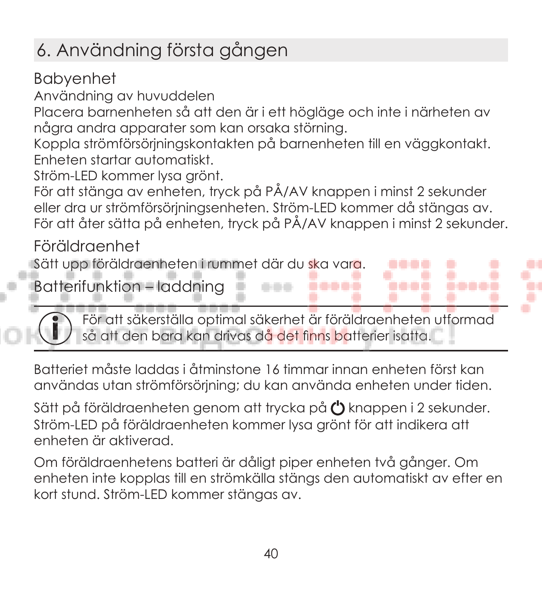## 6. Användning första gången

Babyenhet

Användning av huvuddelen

Placera barnenheten så att den är i ett högläge och inte i närheten av några andra apparater som kan orsaka störning.

Koppla strömförsörjningskontakten på barnenheten till en väggkontakt. Enheten startar automatiskt.

Ström-LED kommer lysa grönt.

För att stänga av enheten, tryck på PÅ/AV knappen i minst 2 sekunder eller dra ur strömförsörjningsenheten. Ström-LED kommer då stängas av. För att åter sätta på enheten, tryck på PÅ/AV knappen i minst 2 sekunder.

Föräldraenhet

Sätt upp föräldraenheten i rummet där du ska vara.

Batterifunktion – laddning

För att säkerställa optimal säkerhet är föräldraenheten utformad så att den bara kan drivas då det finns batterier isatta.

Batteriet måste laddas i åtminstone 16 timmar innan enheten först kan användas utan strömförsörjning; du kan använda enheten under tiden.

Sätt på föräldraenheten genom att trycka på (<sup>1</sup>) knappen i 2 sekunder. Ström-LED på föräldraenheten kommer lysa grönt för att indikera att enheten är aktiverad.

Om föräldraenhetens batteri är dåligt piper enheten två gånger. Om enheten inte kopplas till en strömkälla stängs den automatiskt av efter en kort stund. Ström-LED kommer stängas av.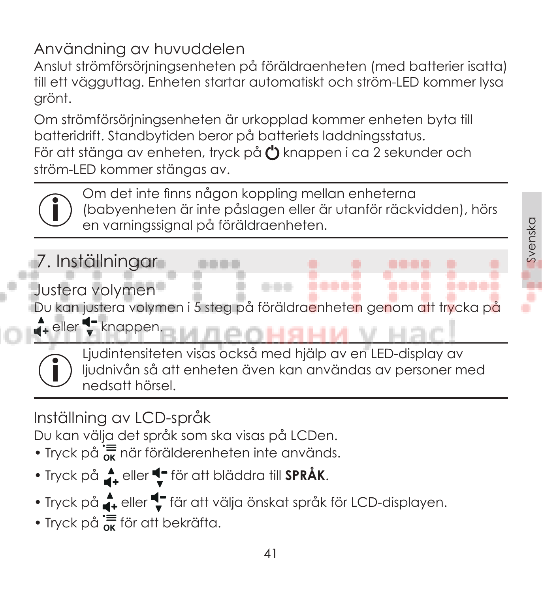Användning av huvuddelen

Anslut strömförsörjningsenheten på föräldraenheten (med batterier isatta) till ett vägguttag. Enheten startar automatiskt och ström-LED kommer lysa grönt.

Om strömförsörjningsenheten är urkopplad kommer enheten byta till batteridrift. Standbytiden beror på batteriets laddningsstatus. För att stänga av enheten, tryck på (<sup>1</sup>) knappen i ca 2 sekunder och ström-LED kommer stängas av.



Svenska

Justera volymen Du kan justera volymen i 5 steg på föräldraenheten genom att trycka på

 $\triangle$  eller  $\blacksquare$  knappen.



7. Inställningar

Ljudintensiteten visas också med hjälp av en LED-display av ljudnivån så att enheten även kan användas av personer med nedsatt hörsel.

Inställning av LCD-språk

Du kan välja det språk som ska visas på LCDen.

- Tryck på  $\frac{1}{\sqrt{n}}$  när förälderenheten inte används.
- Tryck på  $\stackrel{\blacktriangle}{=}$  eller  $\stackrel{\blacktriangle}{=}$  för att bläddra till **SPRÅK**.
- Tryck på  $\triangle$  eller  $\P$ <sup>-</sup> fär att välja önskat språk för LCD-displayen.
- Tryck på  $\frac{1}{\alpha k}$  för att bekräfta.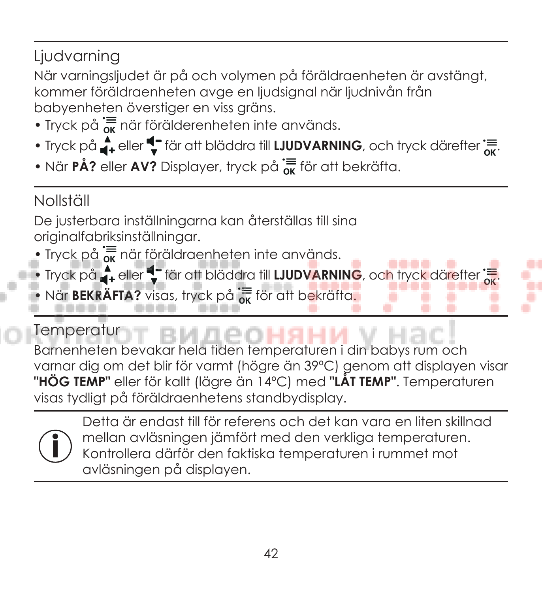## Liudvarnina

När varningsljudet är på och volymen på föräldraenheten är avstängt, kommer föräldraenheten avge en ljudsignal när ljudnivån från babyenheten överstiger en viss gräns.

- Tryck på  $\overline{\overline{z}}$  när förälderenheten inte används.
- Tryck på  $\stackrel{4}{\blacksquare}$  eller  $\stackrel{4}{\blacksquare}$  fär att bläddra till **LJUDVARNING**, och tryck därefter  $\stackrel{1}{\smile}$ .
- När **PÅ?** eller AV? Displayer, tryck på  $\equiv$  för att bekräfta.

#### Nollställ

De justerbara inställningarna kan återställas till sina originalfabriksinställningar.

- Tryck på  $\mathbb{F}$  när föräldraenheten inte används.
- Tryck på  $\triangleq$  eller  $\blacktriangleleft$  fär att bläddra till **LJUDVARNING**, och tryck därefter
- När **BEKRÄFTA?** visas, tryck på **Fundal** för att bekräfta.

#### **Temperatur** Barnenheten bevakar hela tiden temperaturen i din babys rum och

varnar dig om det blir för varmt (högre än 39ºC) genom att displayen visar **"HÖG TEMP"** eller för kallt (lägre än 14ºC) med **"LÅT TEMP"**. Temperaturen visas tydligt på föräldraenhetens standbydisplay.



Detta är endast till för referens och det kan vara en liten skillnad mellan avläsningen jämfört med den verkliga temperaturen. Kontrollera därför den faktiska temperaturen i rummet mot avläsningen på displayen.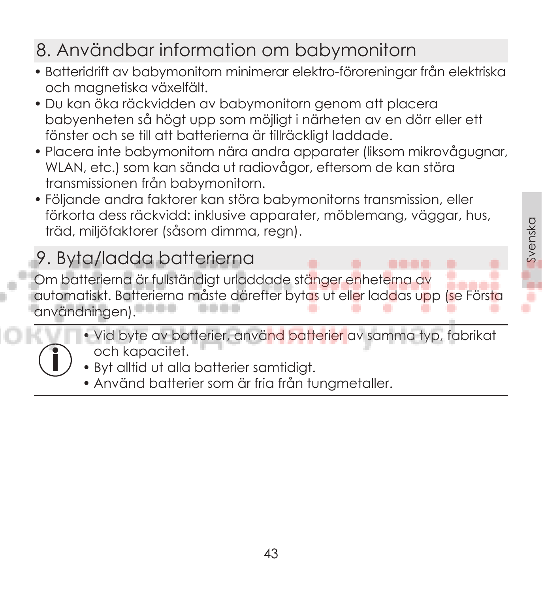## 8. Användbar information om babymonitorn

- Batteridrift av babymonitorn minimerar elektro-föroreningar från elektriska och magnetiska växelfält.
- Du kan öka räckvidden av babymonitorn genom att placera babyenheten så högt upp som möjligt i närheten av en dörr eller ett fönster och se till att batterierna är tillräckligt laddade.
- Placera inte babymonitorn nära andra apparater (liksom mikrovågugnar, WLAN, etc.) som kan sända ut radiovågor, eftersom de kan störa transmissionen från babymonitorn.
- Följande andra faktorer kan störa babymonitorns transmission, eller förkorta dess räckvidd: inklusive apparater, möblemang, väggar, hus, träd, miljöfaktorer (såsom dimma, regn).

## 9. Byta/ladda batterierna

Om batterierna är fullständigt urladdade stänger enheterna av automatiskt. Batterierna måste därefter bytas ut eller laddas upp (se Första användningen).

- Vid byte av batterier, använd batterier av samma typ, fabrikat och kapacitet.
- Byt alltid ut alla batterier samtidigt.
- Använd batterier som är fria från tungmetaller.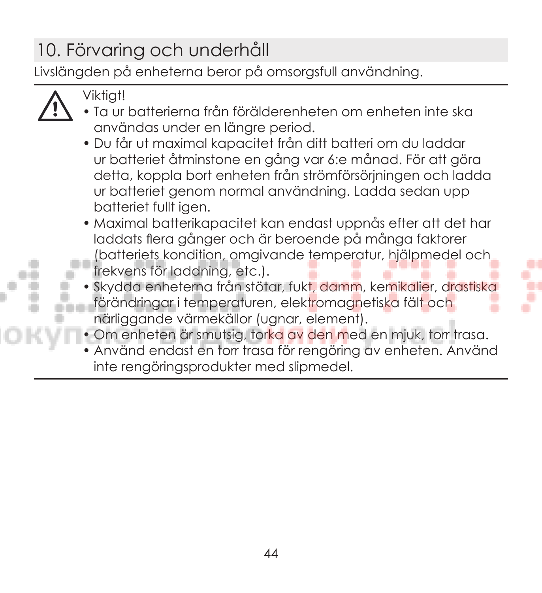## 10. Förvaring och underhåll

Livslängden på enheterna beror på omsorgsfull användning.



- Ta ur batterierna från förälderenheten om enheten inte ska användas under en längre period.
- Du får ut maximal kapacitet från ditt batteri om du laddar ur batteriet åtminstone en gång var 6:e månad. För att göra detta, koppla bort enheten från strömförsörjningen och ladda ur batteriet genom normal användning. Ladda sedan upp batteriet fullt igen.
- Maximal batterikapacitet kan endast uppnås efter att det har laddats flera gånger och är beroende på många faktorer (batteriets kondition, omgivande temperatur, hjälpmedel och
	- frekvens för laddning, etc.).
- Skydda enheterna från stötar, fukt, damm, kemikalier, drastiska förändringar i temperaturen, elektromagnetiska fält och
	- närliggande värmekällor (ugnar, element).
- Om enheten är smutsig, torka av den med en miuk, torr trasa.
- Använd endast en torr trasa för rengöring av enheten. Använd inte rengöringsprodukter med slipmedel.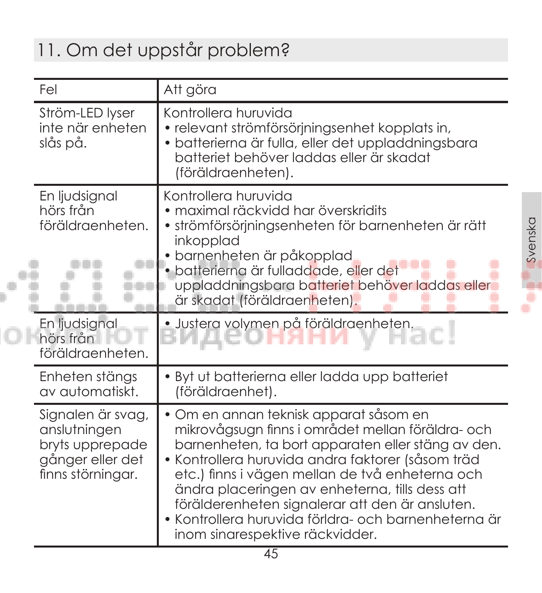## 11. Om det uppstår problem?

|  | Fel                                                                                           | Att göra                                                                                                                                                                                                                                                                                                                                                                                                                                                  |         |
|--|-----------------------------------------------------------------------------------------------|-----------------------------------------------------------------------------------------------------------------------------------------------------------------------------------------------------------------------------------------------------------------------------------------------------------------------------------------------------------------------------------------------------------------------------------------------------------|---------|
|  | Ström-LED lyser<br>inte när enheten<br>slås på.                                               | Kontrollera huruvida<br>• relevant strömförsörjningsenhet kopplats in,<br>· batterierna är fulla, eller det uppladdningsbara<br>batteriet behöver laddas eller är skadat<br>(föräldraenheten).                                                                                                                                                                                                                                                            |         |
|  | En ljudsignal<br>hörs från<br>föräldraenheten.                                                | Kontrollera huruvida<br>• maximal räckvidd har överskridits<br>• strömförsörjningsenheten för barnenheten är rätt<br>inkopplad<br>• barnenheten är påkopplad<br>· batterierna är fulladdade, eller det<br>uppladdningsbara batteriet behöver laddas eller<br>är skadat (föräldraenheten).                                                                                                                                                                 | Svensko |
|  | En ljudsignal<br>hörs från<br>föräldraenheten.                                                | • Justera volymen på föräldraenheten.                                                                                                                                                                                                                                                                                                                                                                                                                     |         |
|  | Enheten stängs<br>av automatiskt.                                                             | · Byt ut batterierna eller ladda upp batteriet<br>(föräldraenhet).                                                                                                                                                                                                                                                                                                                                                                                        |         |
|  | Signalen är svag,<br>anslutningen<br>bryts upprepade<br>gånger eller det<br>finns störningar. | · Om en annan teknisk apparat såsom en<br>mikrovågsugn finns i området mellan föräldra- och<br>barnenheten, ta bort apparaten eller stäng av den.<br>• Kontrollera huruvida andra faktorer (såsom träd<br>etc.) finns i vägen mellan de två enheterna och<br>ändra placeringen av enheterna, tills dess att<br>förälderenheten signalerar att den är ansluten.<br>• Kontrollera huruvida förldra- och barnenheterna är<br>inom sinarespektive räckvidder. |         |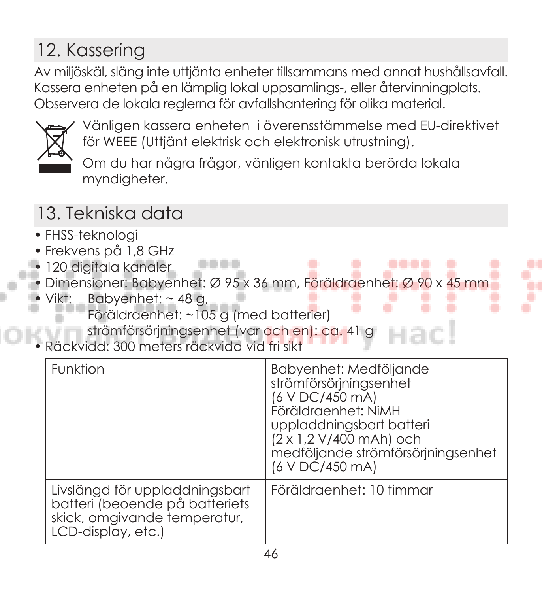## 12. Kassering

Av miljöskäl, släng inte uttjänta enheter tillsammans med annat hushållsavfall. Kassera enheten på en lämplig lokal uppsamlings-, eller återvinningplats. Observera de lokala reglerna för avfallshantering för olika material.



Vänligen kassera enheten i överensstämmelse med EU-direktivet för WEEE (Uttjänt elektrisk och elektronisk utrustning).

Om du har några frågor, vänligen kontakta berörda lokala myndigheter.

## 13. Tekniska data

- FHSS-teknologi
- Frekvens på 1,8 GHz
- 120 digitala kanaler
- Dimensioner: Babyenhet: Ø 95 x 36 mm, Föräldraenhet: Ø 90 x 45 mm
- Vikt: Babyenhet: ~ 48 g,
	- Föräldraenhet: ~105 g (med batterier)

1000

- strömförsörjningsenhet (var och en): ca. 41 g
- Räckvidd: 300 meters räckvidd vid fri sikt

| Funktion                                                                                                               | Babyenhet: Medföljande<br>strömförsörjningsenhet<br>(6 V DC/450 mA)<br>Föräldraenhet: NiMH<br>uppladdningsbart batteri<br>$(2 \times 1, 2 \text{ V}/400 \text{ m/h})$ och<br>medföljande strömförsöriningsenhet<br>(6 V DC/450 mA) |
|------------------------------------------------------------------------------------------------------------------------|------------------------------------------------------------------------------------------------------------------------------------------------------------------------------------------------------------------------------------|
| Livslängd för uppladdningsbart<br>batteri (beoende på batteriets<br>skick, omgivande temperatur,<br>LCD-display, etc.) | Föräldraenhet: 10 timmar                                                                                                                                                                                                           |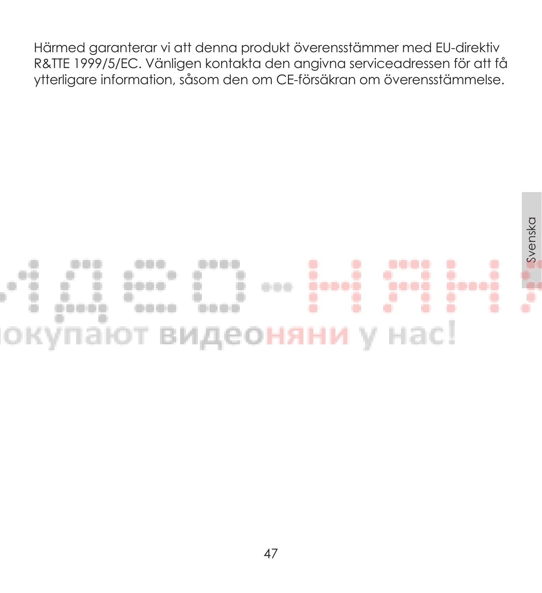Härmed garanterar vi att denna produkt överensstämmer med EU-direktiv R&TTE 1999/5/EC. Vänligen kontakta den angivna serviceadressen för att få ytterligare information, såsom den om CE-försäkran om överensstämmelse.

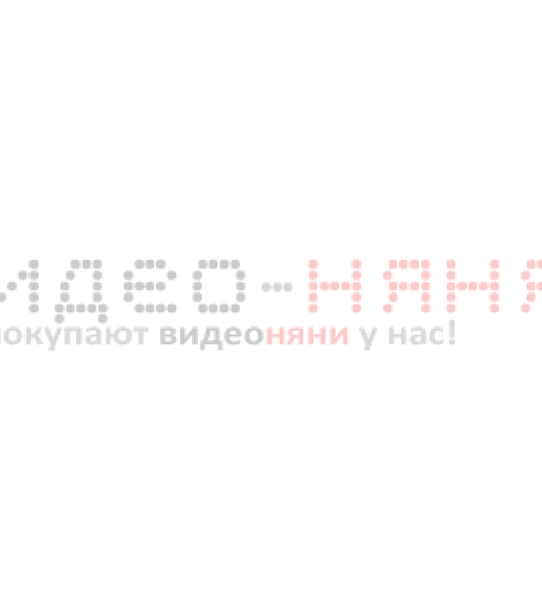$\begin{array}{cccccc} 0 & 0 & 0 & 0 & 0 & 0 & 0 & 0 & 0 \\ 0 & 0 & 0 & 0 & 0 & 0 & 0 & 0 \\ 0 & 0 & 0 & 0 & 0 & 0 & 0 & 0 \\ 0 & 0 & 0 & 0 & 0 & 0 & 0 & 0 \\ 0 & 0 & 0 & 0 & 0 & 0 & 0 & 0 \\ 0 & 0 & 0 & 0 & 0 & 0 & 0 & 0 \\ \end{array}$ **MO** M окупают видеоняни у нас!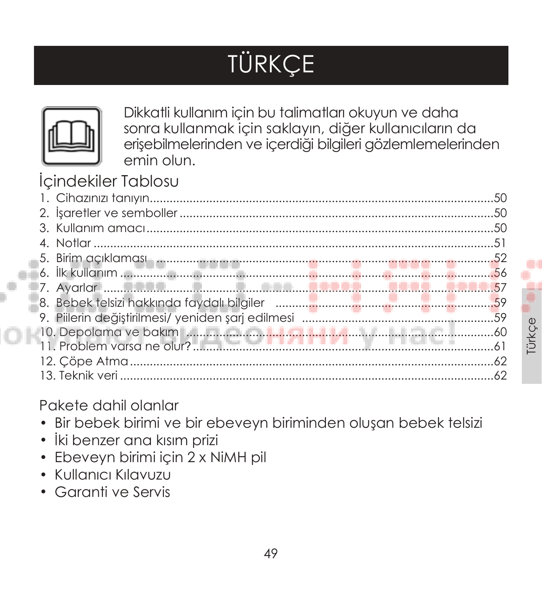# TÜRKÇE



Dikkatli kullanım için bu talimatları okuyun ve daha sonra kullanmak için saklayın, diğer kullanıcıların da erişebilmelerinden ve içerdiği bilgileri gözlemlemelerinden emin olun.

Türkçe

## İçindekiler Tablosu

#### Pakete dahil olanlar

- Bir bebek birimi ve bir ebeveyn biriminden oluşan bebek telsizi
- İki benzer ana kısım prizi
- Ebeveyn birimi için 2 x NiMH pil
- Kullanıcı Kılavuzu
- Garanti ve Servis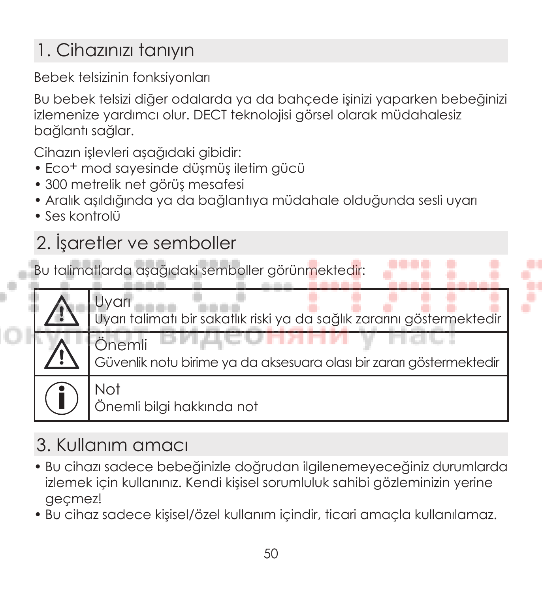## 1. Cihazınızı tanıyın

Bebek telsizinin fonksiyonları

Bu bebek telsizi diğer odalarda ya da bahçede işinizi yaparken bebeğinizi izlemenize yardımcı olur. DECT teknolojisi görsel olarak müdahalesiz bağlantı sağlar.

Cihazın işlevleri aşağıdaki gibidir:

- Eco+ mod sayesinde düşmüş iletim gücü
- 300 metrelik net görüş mesafesi
- Aralık aşıldığında ya da bağlantıya müdahale olduğunda sesli uyarı
- Ses kontrolü

## 2. İşaretler ve semboller

Bu talimatlarda aşağıdaki semboller görünmektedir:

| <b>Uyari</b><br>Uyarı talimatı bir sakatlık riski ya da sağlık zararını göstermektedir |
|----------------------------------------------------------------------------------------|
| <b>Önemli</b><br>Güvenlik notu birime ya da aksesuara olası bir zararı göstermektedir  |
| Not<br>Önemli bilgi hakkında not                                                       |

## 3. Kullanım amacı

- Bu cihazı sadece bebeğinizle doğrudan ilgilenemeyeceğiniz durumlarda izlemek için kullanınız. Kendi kişisel sorumluluk sahibi gözleminizin yerine geçmez!
- Bu cihaz sadece kişisel/özel kullanım içindir, ticari amaçla kullanılamaz.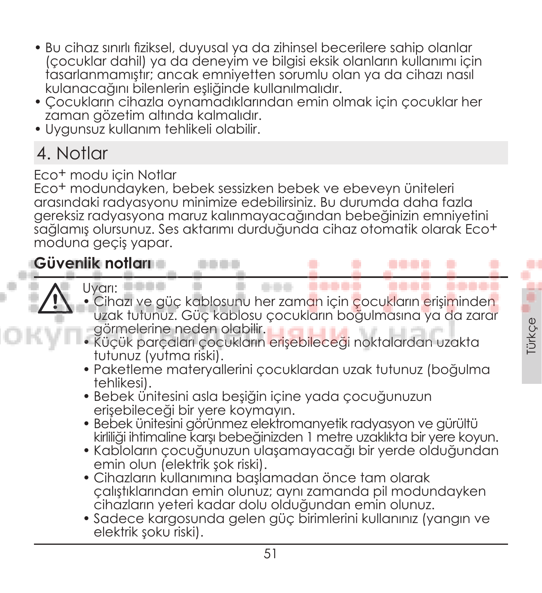- Bu cihaz sınırlı fiziksel, duyusal ya da zihinsel becerilere sahip olanlar (çocuklar dahil) ya da deneyim ve bilgisi eksik olanların kullanımı için tasarlanmamıştır; ancak emniyetten sorumlu olan ya da cihazı nasıl kulanacağını bilenlerin eşliğinde kullanılmalıdır.
- Çocukların cihazla oynamadıklarından emin olmak için çocuklar her zaman gözetim altında kalmalıdır.
- Uygunsuz kullanım tehlikeli olabilir.

## 4. Notlar

Eco+ modu için Notlar

Eco+ modundayken, bebek sessizken bebek ve ebeveyn üniteleri arasındaki radyasyonu minimize edebilirsiniz. Bu durumda daha fazla gereksiz radyasyona maruz kalınmayacağından bebeğinizin emniyetini sağlamış olursunuz. Ses aktarımı durduğunda cihaz otomatik olarak Eco+ moduna geçiş yapar.

#### **Güvenlik notları**

- Uyarı: Cihazı ve güç kablosunu her zaman için çocukların erişiminden uzak tutunuz. Güç kablosu çocukların boğulmasına ya da zarar görmelerine neden olabilir.
- Küçük parçaları çocukların erişebileceği noktalardan uzakta tutunuz (yutma riski).
- Paketleme materyallerini çocuklardan uzak tutunuz (boğulma tehlikesi).
- Bebek ünitesini asla beşiğin içine yada çocuğunuzun erişebileceği bir yere koymayın.
- Bebek ünitesini görünmez elektromanyetik radyasyon ve gürültü kirliliği ihtimaline karşı bebeğinizden 1 metre uzaklıkta bir yere koyun.
- Kabloların çocuğunuzun ulaşamayacağı bir yerde olduğundan emin olun (elektrik şok riski).
- Cihazların kullanımına başlamadan önce tam olarak çalıştıklarından emin olunuz; aynı zamanda pil modundayken cihazların yeteri kadar dolu olduğundan emin olunuz.
- Sadece kargosunda gelen güç birimlerini kullanınız (yangın ve elektrik şoku riski).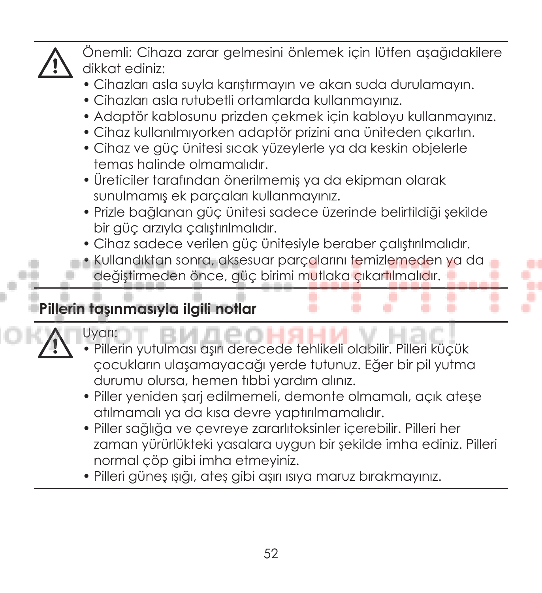

Önemli: Cihaza zarar gelmesini önlemek için lütfen aşağıdakilere dikkat ediniz:

- Cihazları asla suyla karıştırmayın ve akan suda durulamayın.
- Cihazları asla rutubetli ortamlarda kullanmayınız.
- Adaptör kablosunu prizden çekmek için kabloyu kullanmayınız.
- Cihaz kullanılmıyorken adaptör prizini ana üniteden çıkartın.
- Cihaz ve güç ünitesi sıcak yüzeylerle ya da keskin objelerle temas halinde olmamalıdır.
- Üreticiler tarafından önerilmemiş ya da ekipman olarak sunulmamış ek parçaları kullanmayınız.
- Prizle bağlanan güç ünitesi sadece üzerinde belirtildiği şekilde bir güç arzıyla çalıştırılmalıdır.
- Cihaz sadece verilen güç ünitesiyle beraber çalıştırılmalıdır.
- Kullandıktan sonra, aksesuar parçalarını temizlemeden ya da değiştirmeden önce, güç birimi mutlaka çıkartılmalıdır.

#### **Pillerin taşınmasıyla ilgili notlar**



#### Uyarı: • Pillerin yutulması aşırı derecede tehlikeli olabilir. Pilleri küçük

- çocukların ulaşamayacağı yerde tutunuz. Eğer bir pil yutma durumu olursa, hemen tıbbi yardım alınız.
- Piller yeniden şarj edilmemeli, demonte olmamalı, açık ateşe atılmamalı ya da kısa devre yaptırılmamalıdır.
- Piller sağlığa ve çevreye zararlıtoksinler içerebilir. Pilleri her zaman yürürlükteki yasalara uygun bir şekilde imha ediniz. Pilleri normal çöp gibi imha etmeyiniz.
- Pilleri güneş ışığı, ateş gibi aşırı ısıya maruz bırakmayınız.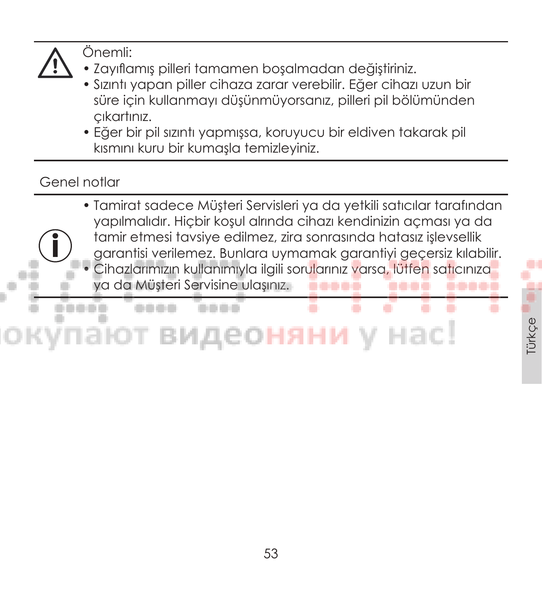

Önemli:

- Zayıflamış pilleri tamamen boşalmadan değiştiriniz.
- Sızıntı yapan piller cihaza zarar verebilir. Eğer cihazı uzun bir süre için kullanmayı düşünmüyorsanız, pilleri pil bölümünden çıkartınız.
- Eğer bir pil sızıntı yapmışsa, koruyucu bir eldiven takarak pil kısmını kuru bir kumaşla temizleyiniz.

#### Genel notlar

0000

• Tamirat sadece Müşteri Servisleri ya da yetkili satıcılar tarafından yapılmalıdır. Hiçbir koşul alrında cihazı kendinizin açması ya da tamir etmesi tavsiye edilmez, zira sonrasında hatasız işlevsellik garantisi verilemez. Bunlara uymamak garantiyi geçersiz kılabilir. • Cihazlarımızın kullanımıyla ilgili sorularınız varsa, lütfen satıcınıza ya da Müşteri Servisine ulaşınız.

## **DOM NO** т видео**няни**

0000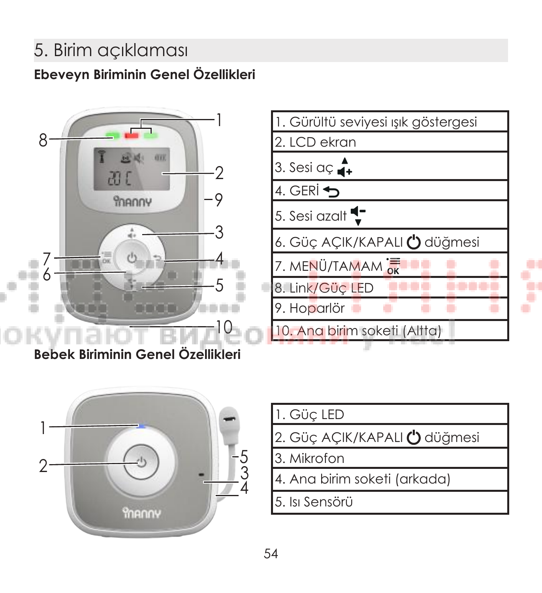## 5. Birim açıklaması

#### **Ebeveyn Biriminin Genel Özellikleri**





|--|--|--|

- 2. Güç AÇIK/KAPALI ( düğmesi
- 3. Mikrofon
- 4. Ana birim soketi (arkada)
- 5. Isı Sensörü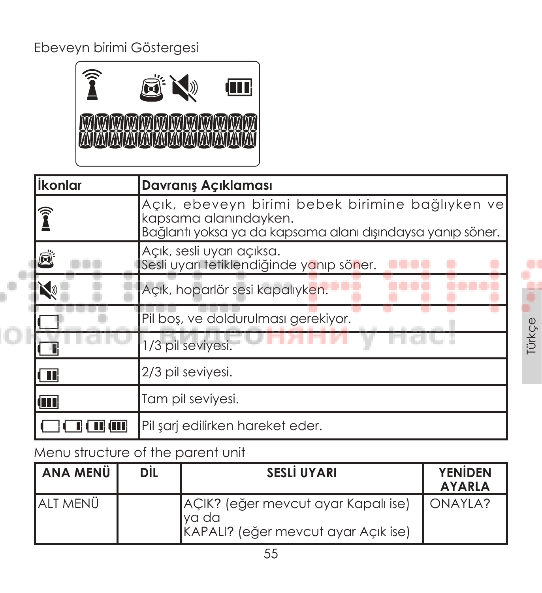Ebeveyn birimi Göstergesi



| <i><u><b>Ikonlar</b></u></i> | <b>Davranıs Açıklaması</b>                                                                                                              |
|------------------------------|-----------------------------------------------------------------------------------------------------------------------------------------|
| ิริ                          | Açık, ebeveyn birimi bebek birimine bağlıyken ve<br>kapsama alanındayken.<br>Bağlantı yoksa ya da kapsama alanı dışındaysa yanıp söner. |
| Ø                            | Acık, sesli uyarı acıksa.<br>Sesli uyarı tetiklendiğinde yanıp söner.                                                                   |
|                              | Acık, hoparlör sesi kapalıyken.                                                                                                         |
|                              | Pil bos, ve doldurulması gerekiyor.                                                                                                     |
|                              | 1/3 pil seviyesi.                                                                                                                       |
| IШ                           | 2/3 pil seviyesi.                                                                                                                       |
| ۱m                           | Tam pil seviyesi.                                                                                                                       |
|                              | Pil sarj edilirken hareket eder.                                                                                                        |

Türkçe

#### Menu structure of the parent unit

| ANA MENÜ | DIL | SESLİ UYARI                                                                         | <b>YENIDEN</b><br><b>AYARLA</b> |
|----------|-----|-------------------------------------------------------------------------------------|---------------------------------|
| ALT MENÜ |     | AÇIK? (eğer mevcut ayar Kapalı ise)<br>va da<br>KAPALI? (eğer mevcut ayar Açık ise) | <b>ONAYLA?</b>                  |
|          |     |                                                                                     |                                 |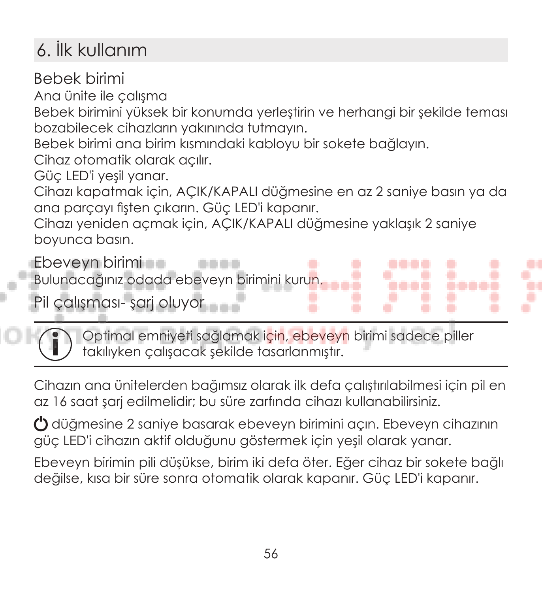## 6. İlk kullanım

Bebek birimi

Ana ünite ile çalışma

Bebek birimini yüksek bir konumda yerleştirin ve herhangi bir şekilde teması bozabilecek cihazların yakınında tutmayın.

Bebek birimi ana birim kısmındaki kabloyu bir sokete bağlayın.

Cihaz otomatik olarak açılır.

Güç LED'i yeşil yanar.

Cihazı kapatmak için, AÇIK/KAPALI düğmesine en az 2 saniye basın ya da ana parçayı fişten çıkarın. Güç LED'i kapanır.

Cihazı yeniden açmak için, AÇIK/KAPALI düğmesine yaklaşık 2 saniye boyunca basın.

Ebeveyn birimi Bulunacağınız odada ebeveyn birimini kurun.

Pil çalışması- şarj oluyor

Optimal emniyeti sağlamak için, ebeveyn birimi sadece piller takılıyken çalışacak şekilde tasarlanmıştır.

Cihazın ana ünitelerden bağımsız olarak ilk defa çalıştırılabilmesi için pil en az 16 saat şarj edilmelidir; bu süre zarfında cihazı kullanabilirsiniz.

 düğmesine 2 saniye basarak ebeveyn birimini açın. Ebeveyn cihazının güç LED'i cihazın aktif olduğunu göstermek için yeşil olarak yanar.

Ebeveyn birimin pili düşükse, birim iki defa öter. Eğer cihaz bir sokete bağlı değilse, kısa bir süre sonra otomatik olarak kapanır. Güç LED'i kapanır.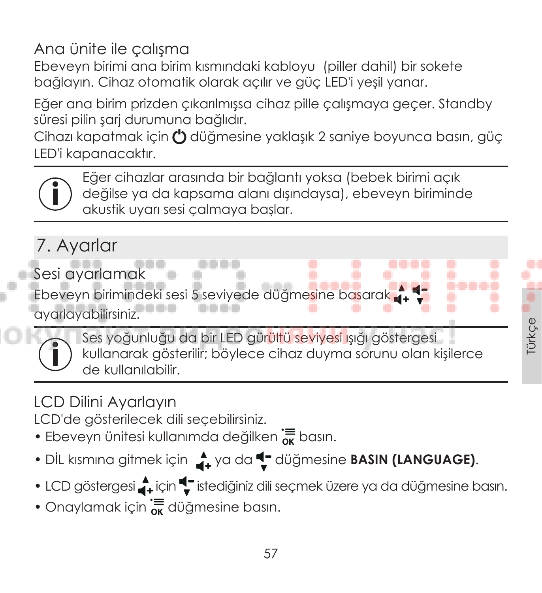Ana ünite ile çalışma

Ebeveyn birimi ana birim kısmındaki kabloyu (piller dahil) bir sokete bağlayın. Cihaz otomatik olarak açılır ve güç LED'i yeşil yanar.

Eğer ana birim prizden çıkarılmışsa cihaz pille çalışmaya geçer. Standby süresi pilin şarj durumuna bağlıdır.

Cihazı kapatmak için (<sup>1</sup>) düğmesine yaklaşık 2 saniye boyunca basın, güç LED'i kapanacaktır.

Eğer cihazlar arasında bir bağlantı yoksa (bebek birimi açık değilse ya da kapsama alanı dışındaysa), ebeveyn biriminde akustik uyarı sesi çalmaya başlar.

## 7. Ayarlar

Sesi ayarlamak

Ebeveyn birimindeki sesi 5 seviyede düğmesine basarak ayarlayabilirsiniz.



Ses yoğunluğu da bir LED gürültü seviyesi ışığı göstergesi kullanarak gösterilir; böylece cihaz duyma sorunu olan kişilerce de kullanılabilir.

Türkçe

## LCD Dilini Ayarlayın

LCD'de gösterilecek dili seçebilirsiniz.

- Ebeveyn ünitesi kullanımda değilken  $\overline{\mathbb{R}}$  basın.
- DİL kısmına gitmek için 4 ya da 4<sup>-</sup> düğmesine **BASIN (LANGUAGE)**.
- LCD göstergesi 4 için 4 istediğiniz dili seçmek üzere ya da düğmesine basın.
- Onaylamak için  $\overline{\overline{\overline{u}}}$  düğmesine basın.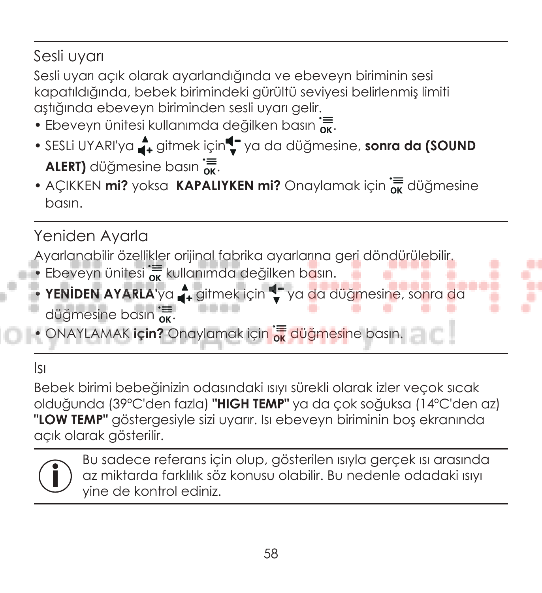#### Sesli uyarı

Sesli uyarı açık olarak ayarlandığında ve ebeveyn biriminin sesi kapatıldığında, bebek birimindeki gürültü seviyesi belirlenmiş limiti aştığında ebeveyn biriminden sesli uyarı gelir.

- Ebeveyn ünitesi kullanımda değilken basın '三
- SESLi UYARI'ya 4. gitmek için<sup>4</sup> ya da düğmesine, **sonra da (SOUND ALERT)** düğmesine basın .
- ACIKKEN **mi?** yoksa KAPALIYKEN mi? Onaylamak için  $\frac{1}{\sqrt{6}}$  düğmesine basın.

#### Yeniden Ayarla

Ayarlanabilir özellikler orijinal fabrika ayarlarına geri döndürülebilir.

- $\bullet$  Ebeveyn ünitesi  $\equiv$  kullanımda değilken basın.
- **YENİDEN AYARLA'**ya 4, gitmek için <sup>4-</sup> ya <mark>da düğmesine, sonra da</mark> düğmesine basın  $\Xi$ .
- ONAYLAMAK **için?** Onaylamak için e düğmesine basın.

#### Isı

Bebek birimi bebeğinizin odasındaki ısıyı sürekli olarak izler veçok sıcak olduğunda (39ºC'den fazla) **"HIGH TEMP"** ya da çok soğuksa (14ºC'den az) **"LOW TEMP"** göstergesiyle sizi uyarır. Isı ebeveyn biriminin boş ekranında açık olarak gösterilir.

Bu sadece referans için olup, gösterilen ısıyla gerçek ısı arasında az miktarda farklılık söz konusu olabilir. Bu nedenle odadaki ısıyı yine de kontrol ediniz.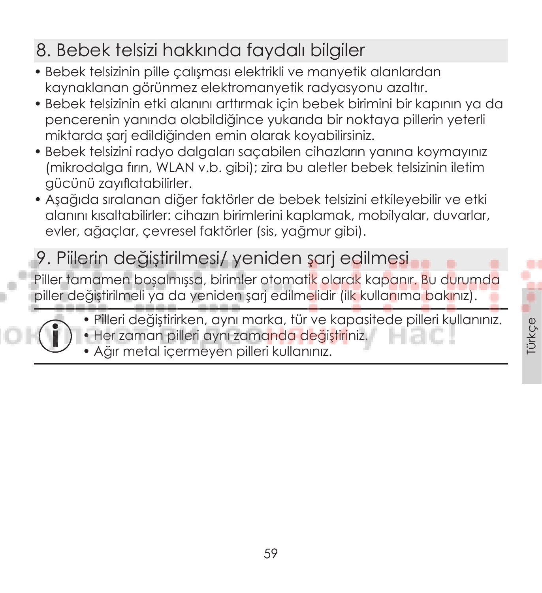# Türkçe

## 8. Bebek telsizi hakkında faydalı bilgiler

- Bebek telsizinin pille çalışması elektrikli ve manyetik alanlardan kaynaklanan görünmez elektromanyetik radyasyonu azaltır.
- Bebek telsizinin etki alanını arttırmak için bebek birimini bir kapının ya da pencerenin yanında olabildiğince yukarıda bir noktaya pillerin yeterli miktarda şarj edildiğinden emin olarak koyabilirsiniz.
- Bebek telsizini radyo dalgaları saçabilen cihazların yanına koymayınız (mikrodalga fırın, WLAN v.b. gibi); zira bu aletler bebek telsizinin iletim gücünü zayıflatabilirler.
- Aşağıda sıralanan diğer faktörler de bebek telsizini etkileyebilir ve etki alanını kısaltabilirler: cihazın birimlerini kaplamak, mobilyalar, duvarlar, evler, ağaçlar, çevresel faktörler (sis, yağmur gibi).

## 9. Piilerin değiştirilmesi/ yeniden şarj edilmesi

Piller tamamen boşalmışsa, birimler otomatik olarak kapanır. Bu durumda piller değiştirilmeli ya da yeniden şarj edilmelidir (ilk kullanıma bakınız).

- Pilleri değiştirirken, aynı marka, tür ve kapasitede pilleri kullanınız.
- Her zaman pilleri aynı zamanda değiştiriniz.
- Ağır metal içermeyen pilleri kullanınız.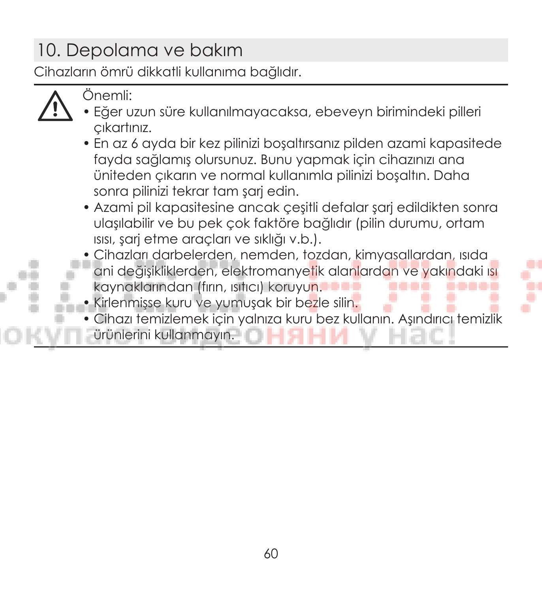## 10. Depolama ve bakım

Cihazların ömrü dikkatli kullanıma bağlıdır.



- Önemli:
- Eğer uzun süre kullanılmayacaksa, ebeveyn birimindeki pilleri çıkartınız.
- En az 6 ayda bir kez pilinizi boşaltırsanız pilden azami kapasitede fayda sağlamış olursunuz. Bunu yapmak için cihazınızı ana üniteden çıkarın ve normal kullanımla pilinizi boşaltın. Daha sonra pilinizi tekrar tam şarj edin.
- Azami pil kapasitesine ancak çeşitli defalar şarj edildikten sonra ulaşılabilir ve bu pek çok faktöre bağlıdır (pilin durumu, ortam ısısı, şarj etme araçları ve sıklığı v.b.).
- Cihazları darbelerden, nemden, tozdan, kimyasallardan, ısıda
- ani değişikliklerden, elektromanyetik alanlardan ve yakındaki ısı kaynaklarından (fırın, ısıtıcı) koruyun.
- Kirlenmişse kuru ve yumuşak bir bezle silin.
- Cihazı temizlemek için yalnıza kuru bez kullanın. Aşındırıcı temizlik
- ürünlerini kullanmayın.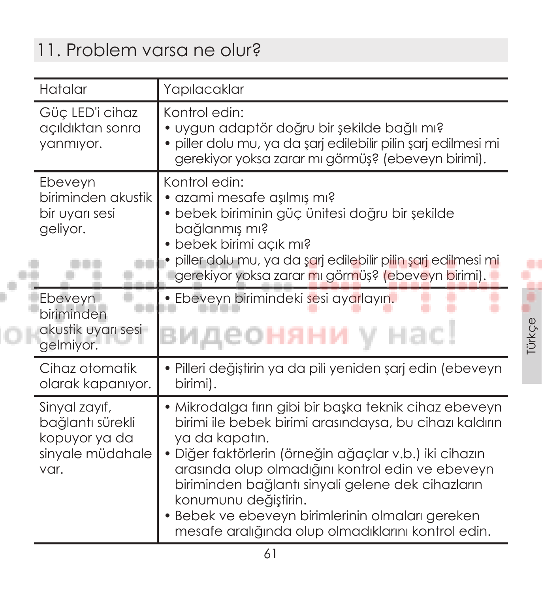## 11. Problem varsa ne olur?

|  | Hatalar                                                                        | Yapılacaklar                                                                                                                                                                                                                                                                                                                                                                                                                             |
|--|--------------------------------------------------------------------------------|------------------------------------------------------------------------------------------------------------------------------------------------------------------------------------------------------------------------------------------------------------------------------------------------------------------------------------------------------------------------------------------------------------------------------------------|
|  | Güç LED'i cihaz<br>acıldıktan sonra<br>yanmıyor.                               | Kontrol edin:<br>· uygun adaptör doğru bir şekilde bağlı mı?<br>· piller dolu mu, ya da şarj edilebilir pilin şarj edilmesi mi<br>gerekiyor yoksa zarar mı görmüş? (ebeveyn birimi).                                                                                                                                                                                                                                                     |
|  | Ebeveyn<br>biriminden akustik<br>bir uyarı sesi<br>geliyor.                    | Kontrol edin:<br>· azami mesafe aşılmış mı?<br>• bebek biriminin güç ünitesi doğru bir şekilde<br>bağlanmış mı?<br>• bebek birimi açık mı?<br>· piller dolu mu, ya da şarj edilebilir pilin şarj edilmesi mi<br>gerekiyor yoksa zarar mı görmüş? (ebeveyn birimi).                                                                                                                                                                       |
|  | Ebeveyn<br>biriminden<br>akustik uyarı sesi<br>gelmiyor.                       | • Ebeveyn birimindeki sesi ayarlayın.<br>эонян                                                                                                                                                                                                                                                                                                                                                                                           |
|  | Cihaz otomatik<br>olarak kapanıyor.                                            | · Pilleri değiştirin ya da pili yeniden şarj edin (ebeveyn<br>birimi).                                                                                                                                                                                                                                                                                                                                                                   |
|  | Sinyal zayıf,<br>bağlantı sürekli<br>kopuyor ya da<br>sinyale müdahale<br>var. | · Mikrodalga fırın gibi bir başka teknik cihaz ebeveyn<br>birimi ile bebek birimi arasındaysa, bu cihazı kaldırın<br>ya da kapatın.<br>· Diğer faktörlerin (örneğin ağaçlar v.b.) iki cihazın<br>arasında olup olmadığını kontrol edin ve ebeveyn<br>biriminden bağlantı sinyali gelene dek cihazların<br>konumunu değiştirin.<br>· Bebek ve ebeveyn birimlerinin olmaları gereken<br>mesafe aralığında olup olmadıklarını kontrol edin. |

Türkçe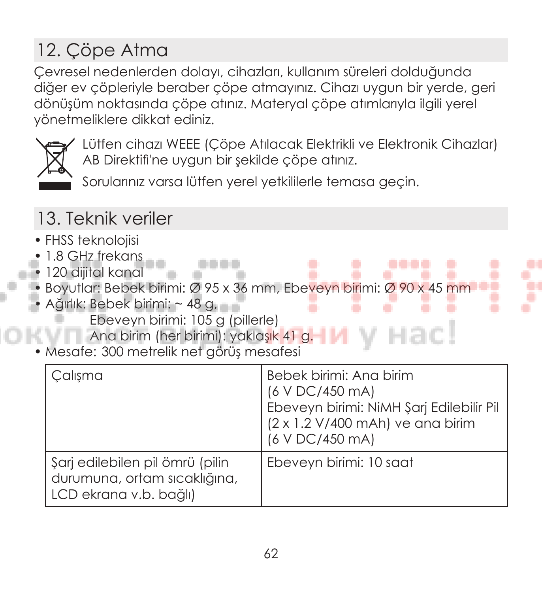## 12. Çöpe Atma

Çevresel nedenlerden dolayı, cihazları, kullanım süreleri dolduğunda diğer ev çöpleriyle beraber çöpe atmayınız. Cihazı uygun bir yerde, geri dönüşüm noktasında çöpe atınız. Materyal çöpe atımlarıyla ilgili yerel yönetmeliklere dikkat ediniz.



Sorularınız varsa lütfen yerel yetkililerle temasa geçin.

## 13. Teknik veriler

- FHSS teknolojisi
- 1.8 GHz frekans
- 120 dijital kanal
- Boyutlar: Bebek birimi: Ø 95 x 36 mm, Ebeveyn birimi: Ø 90 x 45 mm
- Ağırlık: Bebek birimi: ~ 48 g, Ebeveyn birimi: 105 g (pillerle)

Ana birim (her birimi): yaklaşık 41 g.

• Mesafe: 300 metrelik net görüş mesafesi

| Calisma                                                                                   | Bebek birimi: Ana birim<br>(6 V DC/450 mA)<br>Ebeveyn birimi: NiMH Şarj Edilebilir Pil<br>(2 x 1.2 V/400 mAh) ve ana birim<br>(6 V DC/450 mA) |
|-------------------------------------------------------------------------------------------|-----------------------------------------------------------------------------------------------------------------------------------------------|
| Şarj edilebilen pil ömrü (pilin<br>durumuna, ortam sıcaklığına,<br>LCD ekrana v.b. bağlı) | Ebeveyn birimi: 10 saat                                                                                                                       |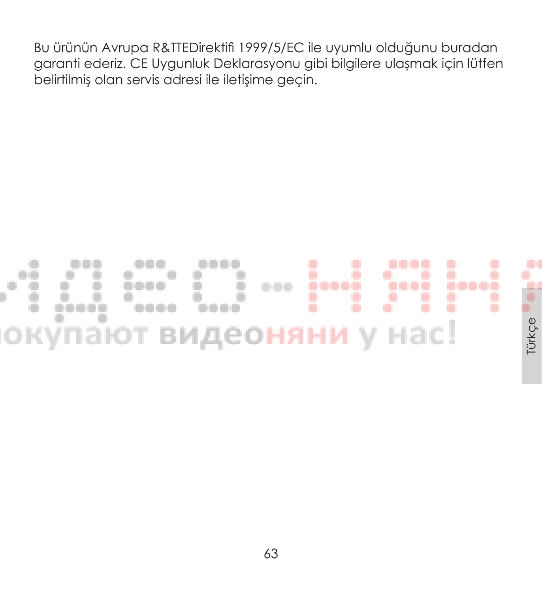Bu ürünün Avrupa R&TTEDirektifi 1999/5/EC ile uyumlu olduğunu buradan garanti ederiz. CE Uygunluk Deklarasyonu gibi bilgilere ulaşmak için lütfen belirtilmiş olan servis adresi ile iletişime geçin.

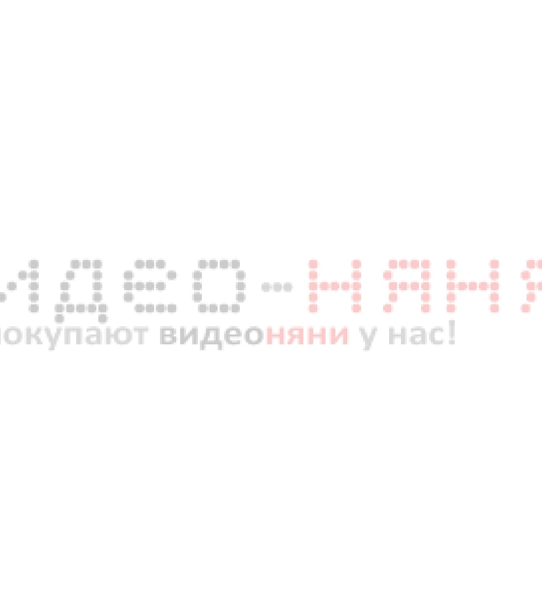$\begin{array}{cccccc} 0 & 0 & 0 & 0 & 0 & 0 & 0 & 0 & 0 \\ 0 & 0 & 0 & 0 & 0 & 0 & 0 & 0 \\ 0 & 0 & 0 & 0 & 0 & 0 & 0 & 0 \\ 0 & 0 & 0 & 0 & 0 & 0 & 0 & 0 \\ 0 & 0 & 0 & 0 & 0 & 0 & 0 & 0 \\ 0 & 0 & 0 & 0 & 0 & 0 & 0 & 0 \\ \end{array}$ **MO** M окупают видеоняни у нас!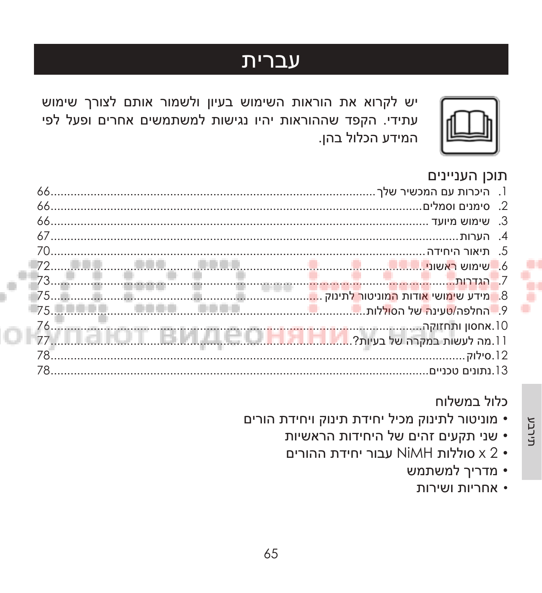## עברית



יש לקרוא את הוראות השימוש בעיוו ולשמור אותם לצורר שימוש עתידי. הקפד שההוראות יהיו נגישות למשתמשים אחרים ופעל לפי המידע הכלול רהו

#### תוכו העניינים

| <sup>7</sup> – הגדרות המודרים המודרכים המודרים המודרים המודרכים המודרים המודרכים המודרכים המודרכים המודרכים המודרכים מודר<br>קיימוס המודרכים המודרכים המודרכים המודרכים המודרכים המודרכים המודרכים המודרכים המודרכים המודרכים המודרכים המ |  |
|-------------------------------------------------------------------------------------------------------------------------------------------------------------------------------------------------------------------------------------------|--|
|                                                                                                                                                                                                                                           |  |
|                                                                                                                                                                                                                                           |  |
|                                                                                                                                                                                                                                           |  |
|                                                                                                                                                                                                                                           |  |
|                                                                                                                                                                                                                                           |  |
| 13 נתונים טכניים במדינה של המשפט המשפט המשפט המשפט המשפט המשפט המשפט המשפט המשפט המשפט המשפט המשפט ה                                                                                                                                      |  |

#### כלול במשלוח

תירבע

- מוניטור לתינוק מכיל יחידת תינוק ויחידת הורים
	- שני תקעים זהים של היחידות הראשיות
	- 2 × סוללות NiMH עבור יחידת ההורים
		- מדריך למשתמש
			- אחריות וושירות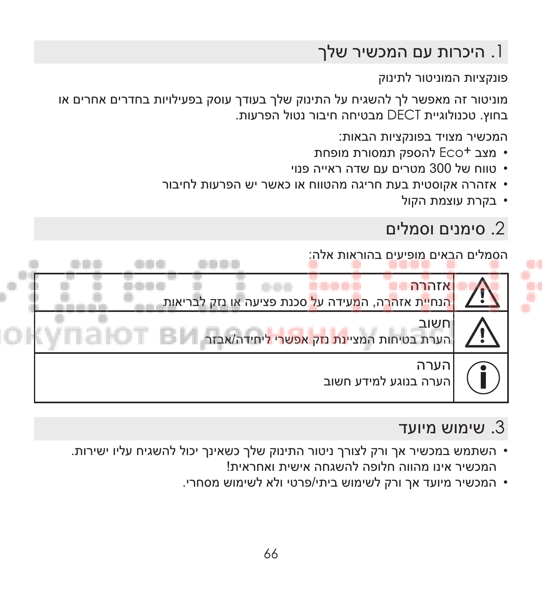#### .1 היכרות עם המכשיר שלך

פונקציות המוניטור לתינוק

מוניטור זה מאפשר לך להשגיח על התינוק שלך בעודך עוסק בפעילויות בחדרים אחרים או בחוץ. טכנולוגיית DECT מבטיחה חיבור נטול הפרעות.

המכשיר מצויד בפונקציות הבאות:

- מצב +Eco להספק תמסורת מופחת
- טווח של 300 מטרים עם שדה ראייה פנוי
- אזהרה אקוסטית בעת חריגה מהטווח או כאשר יש הפרעות לחיבור
	- בקרת עוצמת הקול

#### .2 סימנים וסמלים

הסמלים הבאים מופיעים בהוראות אלה:

| ואזהרה<br>הנחיית אזהרה, המעידה על סכנת פציעה או נזק לבריאות |  |
|-------------------------------------------------------------|--|
| חשוב<br>הערת בטיחות המציינת נזק אפשרי ליחידה/אבזר           |  |
| הערה<br>הערה בנוגע למידע חשוב                               |  |

#### .3 שימוש מיועד

- השתמש במכשיר אך ורק לצורך ניטור התינוק שלך כשאינך יכול להשגיח עליו ישירות. המכשיר אינו מהווה חלופה להשגחה אישית ואחראית!
	- המכשיר מיועד אך ורק לשימוש ביתי/פרטי ולא לשימוש מסחרי.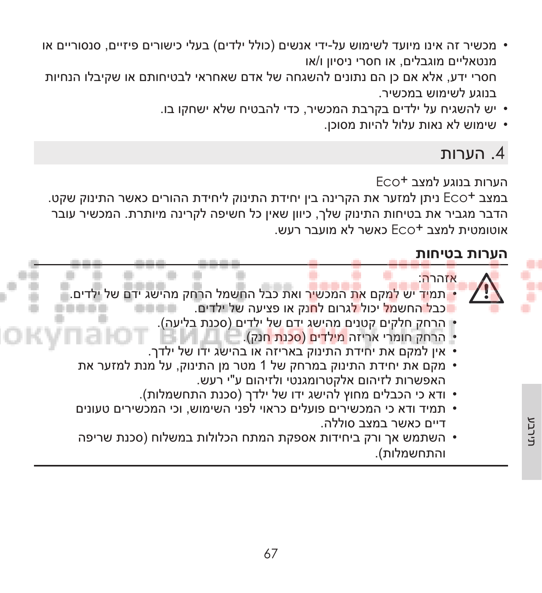- מכשיר זה אינו מיועד לשימוש על-ידי אנשים (כולל ילדים) בעלי כישורים פיזיים, סנסוריים או מנטאליים מוגבלים, או חסרי ניסיון ו/או חסרי ידע, אלא אם כן הם נתונים להשגחה של אדם שאחראי לבטיחותם או שקיבלו הנחיות בנוגע לשימוש במכשיר.
	- יש להשגיח על ילדים בקרבת המכשיר, כדי להבטיח שלא ישחקו בו.
		- שימוש לא נאות עלול להיות מסוכן.

#### .4 הערות

הערות בנוגע למצב +Eco

במצב +Eco ניתן למזער את הקרינה בין יחידת התינוק ליחידת ההורים כאשר התינוק שקט. הדבר מגביר את בטיחות התינוק שלך, כיוון שאין כל חשיפה לקרינה מיותרת. המכשיר עובר אוטומטית למצב +Eco כאשר לא מועבר רעש.

#### **הערות בטיחות**

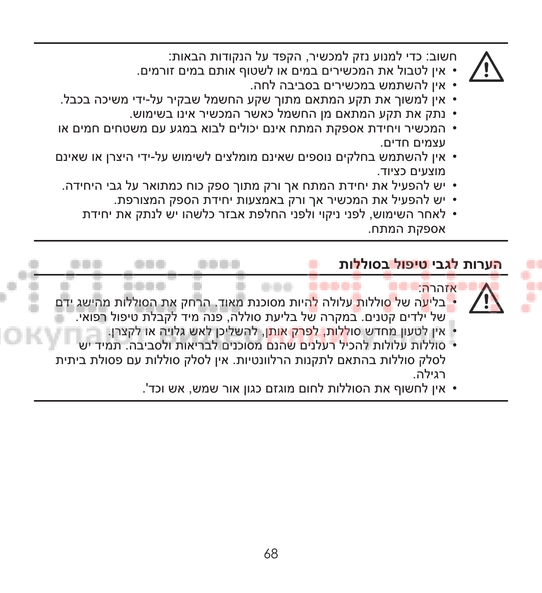

חשוב: כדי למנוע נזק למכשיר, הקפד על הנקודות הבאות:

- אין לטבול את המכשירים במים או לשטוף אותם במים זורמים.
	- אין להשתמש במכשירים בסביבה לחה.
- אין למשוך את תקע המתאם מתוך שקע החשמל שבקיר על-ידי משיכה בכבל.
	- נתק את תקע המתאם מן החשמל כאשר המכשיר אינו בשימוש.
- המכשיר ויחידת אספקת המתח אינם יכולים לבוא במגע עם משטחים חמים או עצמים חדים.
- אין להשתמש בחלקים נוספים שאינם מומלצים לשימוש על-ידי היצרן או שאינם מוצעים כציוד.
	- יש להפעיל את יחידת המתח אך ורק מתוך ספק כוח כמתואר על גבי היחידה.
		- יש להפעיל את המכשיר אך ורק באמצעות יחידת הספק המצורפת.
		- לאחר השימוש, לפני ניקוי ולפני החלפת אבזר כלשהו יש לנתק את יחידת אספקת המתח.

#### **הערות לגבי טיפול בסוללות**

אזהרה: .<br>בלי<mark>ע</mark>ה של סוללות עלולה להיות מסוכנת מאוד. הרחק את הסוללות מהישג י של ילדים קטנים. במקרה של בליעת סוללה, פנה מיד לקבלת טיפול רפואי.

---

- אין לטעון מחדש סוללות, לפרק אותן, להשליכן לאש גלויה או לקצרן.
- סוללות עלולות להכיל רעלנים שהנם מסוכנים לבריאות ולסביבה. תמיד יש לסלק סוללות בהתאם לתקנות הרלוונטיות. אין לסלק סוללות עם פסולת ביתית רגילה.
	- אין לחשוף את הסוללות לחום מוגזם כגון אור שמש, אש וכד'.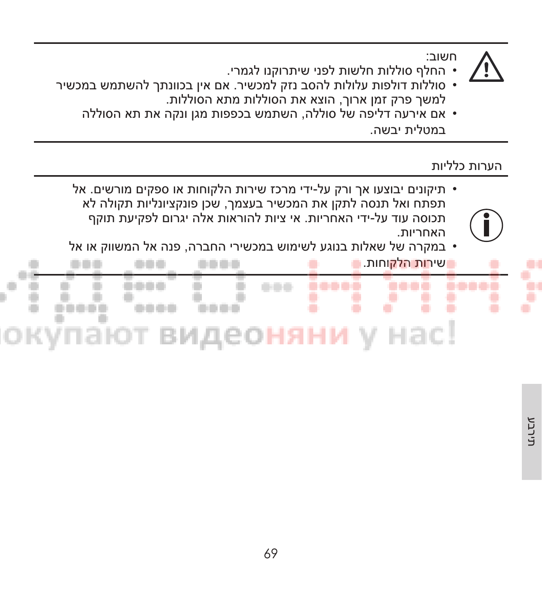

חשוב:

- החלף סוללות חלשות לפני שיתרוקנו לגמרי.
- סוללות דולפות עלולות להסב נזק למכשיר. אם אין בכוונתך להשתמש במכשיר למשך פרק זמן ארוך, הוצא את הסוללות מתא הסוללות.
	- אם אירעה דליפה של סוללה, השתמש בכפפות מגן ונקה את תא הסוללה במטלית יבשה.

#### הערות כלליות

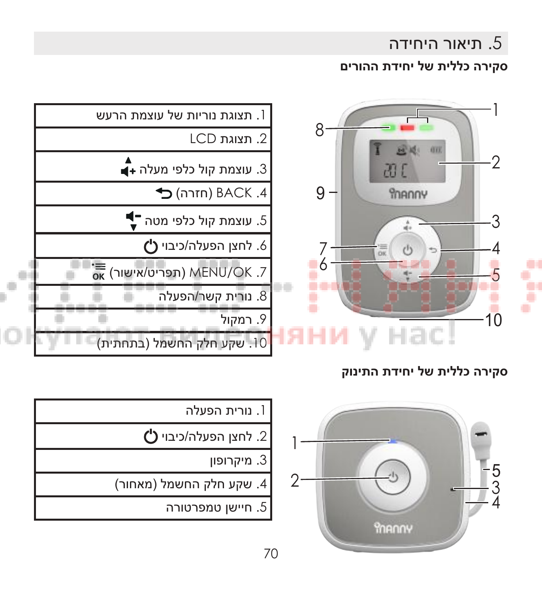#### .5 תיאור היחידה

#### **סקירה כללית של יחידת ההורים**



#### **סקירה כללית של יחידת התינוק**

n



| ן. נורית הפעלה<br>ı      |
|--------------------------|
| 2. לחצן הפעלה/כיבוי D    |
| 3. מיקרופון              |
| 4. שקע חלק החשמל (מאחור) |

- - .5 חיישן טמפרטורה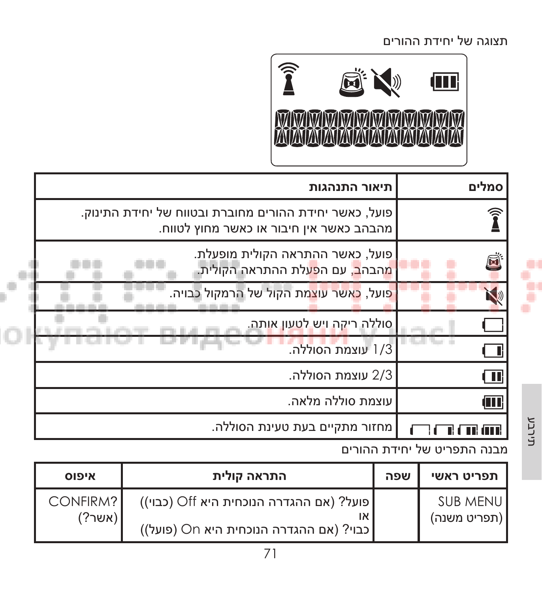#### תצוגה של יחידת ההורים



| סמלים | תיאור התנהגות                                                                                      |  |  |
|-------|----------------------------------------------------------------------------------------------------|--|--|
|       | פועל, כאשר יחידת ההורים מחוברת ובטווח של יחידת התינוק.<br>מהבהב כאשר אין חיבור או כאשר מחוץ לטווח. |  |  |
|       | פועל, כאשר ההתראה הקולית מופעלת.<br>מהבהב, עם הפעלת ההתראה הקולית.                                 |  |  |
|       | פועל, כאשר עוצמת הקול של הרמקול כבויה.                                                             |  |  |
|       | סוללה ריקה ויש לטעון אותה.                                                                         |  |  |
|       | 1/3 עוצמת הסוללה.                                                                                  |  |  |
| Ш     | 2/3 עוצמת הסוללה.                                                                                  |  |  |
| Œ     | עוצמת סוללה מלאה.                                                                                  |  |  |
| m     | מחזור מתקיים בעת טעינת הסוללה.                                                                     |  |  |

ı, Ċ

#### מבנה התפריט של יחידת ההורים

תירבע

ŷ

| איפוס              | התראה קולית                                                                                | שפה | תפריט ראשי                      |
|--------------------|--------------------------------------------------------------------------------------------|-----|---------------------------------|
| CONFIRM?<br>(אשר?) | eועל? (אם ההגדרה הנוכחית היא Off (כבוי))<br>או<br> כבוי? (אם ההגדרה הנוכחית היא On (פועל)) |     | <b>SUB MENU</b><br>(תפריט משנה) |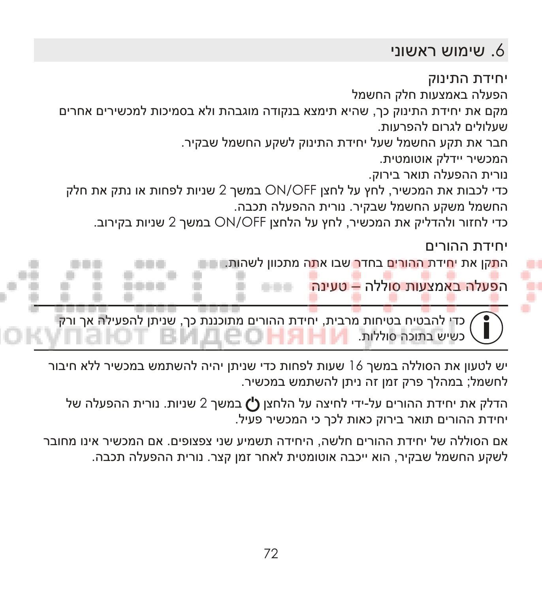## .6 שימוש ראשוני

יחידת התינוק הפעלה באמצעות חלק החשמל מקם את יחידת התינוק כך, שהיא תימצא בנקודה מוגבהת ולא בסמיכות למכשירים אחרים שעלולים לגרום להפרעות. חבר את תקע החשמל שעל יחידת התינוק לשקע החשמל שבקיר. המכשיר יידלק אוטומטית. נורית ההפעלה תואר בירוק. כדי לכבות את המכשיר, לחץ על לחצן OFF/ON במשך 2 שניות לפחות או נתק את חלק החשמל משקע החשמל שבקיר. נורית ההפעלה תכבה. כדי לחזור ולהדליק את המכשיר, לחץ על הלחצן OFF/ON במשך 2 שניות בקירוב. יחידת ההורים התקן את יחידת ההורים בחדר שבו אתה מתכוון לשהות. הפעלה באמצעות סוללה – טעינה

כדי להבטיח בטיחות מרבית, יחידת ההורים מתוכננת כך, שניתן להפעילה אך ורק כשיש בתוכה סוללות.

יש לטעון את הסוללה במשך 16 שעות לפחות כדי שניתן יהיה להשתמש במכשיר ללא חיבור לחשמל; במהלך פרק זמן זה ניתן להשתמש במכשיר.

הדלק את יחידת ההורים על-ידי לחיצה על הלחצו **(י'***)* **ב**משר 2 שניות. נורית ההפעלה של יחידת ההורים תואר בירוק כאות לכך כי המכשיר פעיל.

אם הסוללה של יחידת ההורים חלשה, היחידה תשמיע שני צפצופים. אם המכשיר אינו מחובר לשקע החשמל שבקיר, הוא ייכבה אוטומטית לאחר זמן קצר. נורית ההפעלה תכבה.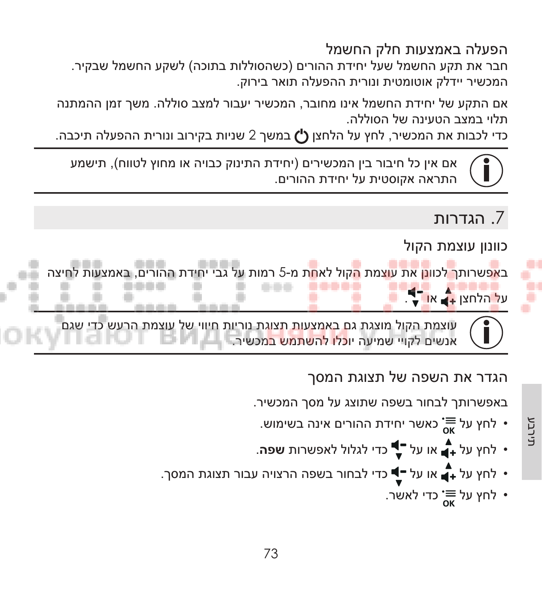הפעלה באמצעות חלק החשמל

חבר את תקע החשמל שעל יחידת ההורים )כשהסוללות בתוכה( לשקע החשמל שבקיר. המכשיר יידלק אוטומטית ונורית ההפעלה תואר בירוק.

אם התקע של יחידת החשמל אינו מחובר, המכשיר יעבור למצב סוללה. משך זמן ההמתנה תלוי במצב הטעינה של הסוללה.

כדי לכבות את המכשיר, לחץ על הלחצן **(<sup>ו</sup>)** במשך 2 שניות בקירוב ונורית ההפעלה תיכבה.



אם אין כל חיבור בין המכשירים )יחידת התינוק כבויה או מחוץ לטווח(, תישמע התראה אקוסטית על יחידת ההורים.

## .7 הגדרות

כוונון עוצמת הקול

ב<mark>אפ</mark>שרותר לכוונן את עוצמת הקול לאחת מ-5 רמות על גבי יחידת ההורים. באמצעות לחיצה



עוצמת הקול מוצגת גם באמצעות תצוגת נוריות חיווי של עוצמת הרעש כדי שגם אנשים לקויי שמיעה יוכלו להשתמש במכשיר.

הגדר את השפה של תצוגת המסך

באפשרותך לבחור בשפה שתוצג על מסך המכשיר.

- לחץ על כאשר יחידת ההורים אינה בשימוש.
- לחץ על או על כדי לגלול לאפשרות **שפה**.
- לחץ על ∔∎ או על =■ כדי לבחור בשפה הרצויה עבור תצוגת המסך.
	- לחץ על ≡י כדי לאשר.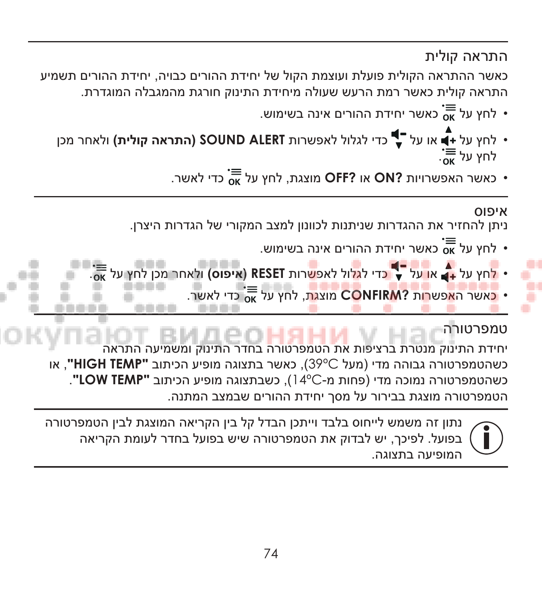## התראה קולית

כאשר ההתראה הקולית פועלת ועוצמת הקול של יחידת ההורים כבויה, יחידת ההורים תשמיע התראה קולית כאשר רמת הרעש שעולה מיחידת התינוק חורגת מהמגבלה המוגדרת.

- לחץ על כאשר יחידת ההורים אינה בשימוש.
- לחץ על **+) או על כ"** כדי לגלול לאפשרות **SOUND ALERT (התראה קולית)** ולאחר מכן לחץ על .
	- כאשר האפשרויות **?ON** או **?OFF** מוצגת, לחץ על כדי לאשר.

<mark>איפוס</mark><br>ניתו להחזיר את ההגדרות שניתנות לכוונוו למצב המקורי של הגדרות היצרו.

- לחץ על αֹה כאשר יחידת ההורים אינה בשימוש.
- לחץ על או על כדי לגלול לאפשרות **RESET( איפוס(** ולאחר מכן לחץ על .
	- כאשר האפשרות **?CONFIRM** מוצגת, לחץ על כדי לאשר.

## טמפרטורה

יחידת התינוק מנטרת ברציפות את הטמפרטורה בחדר התינוק ומשמיעה התראה כשהטמפרטורה גבוהה מדי )מעל ºC39), כאשר בתצוגה מופיע הכיתוב **"TEMP HIGH"**, או כשהטמפרטורה נמוכה מדי )פחות מ-ºC14), כשבתצוגה מופיע הכיתוב **"TEMP LOW"**. הטמפרטורה מוצגת בבירור על מסך יחידת ההורים שבמצב המתנה.



נתון זה משמש לייחוס בלבד וייתכן הבדל קל בין הקריאה המוצגת לבין הטמפרטורה בפועל. לפיכך, יש לבדוק את הטמפרטורה שיש בפועל בחדר לעומת הקריאה המופיעה בתצוגה.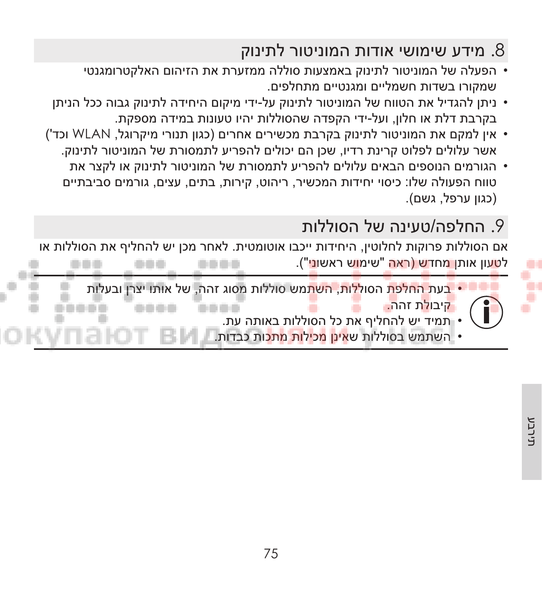## .8 מידע שימושי אודות המוניטור לתינוק

- הפעלה של המוניטור לתינוק באמצעות סוללה ממזערת את הזיהום האלקטרומגנטי שמקורו בשדות חשמליים ומגנטיים מתחלפים.
- ניתן להגדיל את הטווח של המוניטור לתינוק על-ידי מיקום היחידה לתינוק גבוה ככל הניתן בקרבת דלת או חלון, ועל-ידי הקפדה שהסוללות יהיו טעונות במידה מספקת.
- אין למקם את המוניטור לתינוק בקרבת מכשירים אחרים )כגון תנורי מיקרוגל, WLAN וכד'( אשר עלולים לפלוט קרינת רדיו, שכן הם יכולים להפריע לתמסורת של המוניטור לתינוק.
	- הגורמים הנוספים הבאים עלולים להפריע לתמסורת של המוניטור לתינוק או לקצר את טווח הפעולה שלו: כיסוי יחידות המכשיר, ריהוט, קירות, בתים, עצים, גורמים סביבתיים (כגוו ערפל, גשם).

## .9 החלפה/טעינה של הסוללות

אם הסוללות פרוקות לחלוטין, היחידות ייכבו אוטומטית. לאחר מכן יש להחליף את הסוללות או לטעון אותן מחדש )ראה "שימוש ראשוני"(. 0000





• השתמש בסוללות שאינן מכילות מתכות כבדות.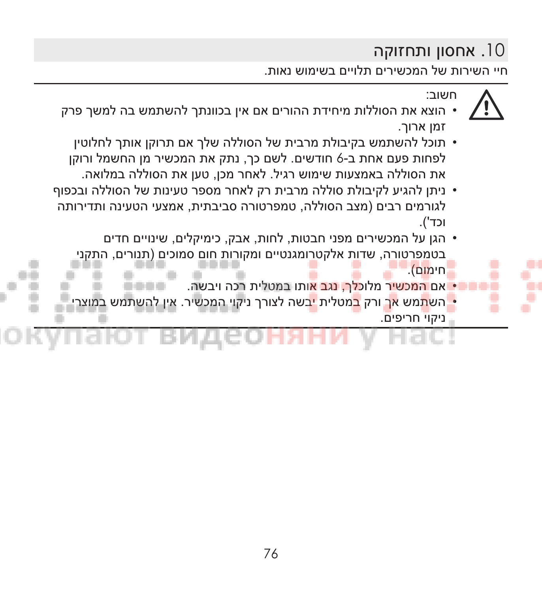## .10 אחסון ותחזוקה חיי השירות של המכשירים תלויים בשימוש נאות.



- חשוב:
- הוצא את הסוללות מיחידת ההורים אם אין בכוונתך להשתמש בה למשך פרק זמן ארוך.
- תוכל להשתמש בקיבולת מרבית של הסוללה שלך אם תרוקן אותך לחלוטין לפחות פעם אחת ב6- חודשים. לשם כך, נתק את המכשיר מן החשמל ורוקן את הסוללה באמצעות שימוש רגיל. לאחר מכן, טען את הסוללה במלואה.
- ניתן להגיע לקיבולת סוללה מרבית רק לאחר מספר טעינות של הסוללה ובכפוף לגורמים רבים )מצב הסוללה, טמפרטורה סביבתית, אמצעי הטעינה ותדירותה וכד'(.
	- הגן על המכשירים מפני חבטות, לחות, אבק, כימיקלים, שינויים חדים בטמפרטורה, שדות אלקטרומגנטיים ומקורות חום סמוכים )תנורים, התקני
		- חימום(.
		- אם המכשיר מלוכלך, נגב אותו במטלית רכה ויבשה.
	- השתמש אך ורק במטלית יבשה לצורך ניקוי המכשיר. אין להשתמש
		- ניקוי חריפים.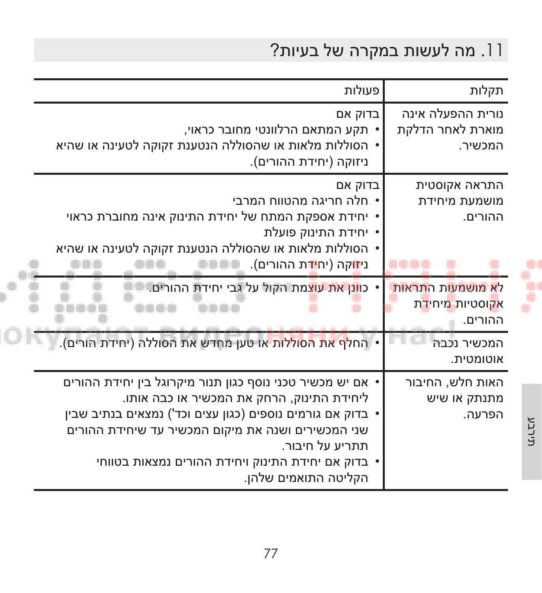## .11 מה לעשות במקרה של בעיות?

תירבע

ÿ

| תקלות                                            | פעולות                                                                                                                                                                                                                                                                                                                        |
|--------------------------------------------------|-------------------------------------------------------------------------------------------------------------------------------------------------------------------------------------------------------------------------------------------------------------------------------------------------------------------------------|
| נורית ההפעלה אינה<br>מוארת לאחר הדלקת<br>המכשיר. | בדוק אם<br>• תקע המתאם הרלוונטי מחובר כראוי,<br>• הסוללות מלאות או שהסוללה הנטענת זקוקה לטעינה או שהיא<br>ניזוקה (יחידת ההורים).                                                                                                                                                                                              |
| התראה אקוסטית<br>מושמעת מיחידת<br>ההורים.        | בדוק אם<br>• חלה חריגה מהטווח המרבי<br>• יחידת אספקת המתח של יחידת התינוק אינה מחוברת כראוי<br>• יחידת התינוק פועלת<br>• הסוללות מלאות או שהסוללה הנטענת זקוקה לטעינה או שהיא<br>ניזוקה (יחידת ההורים).                                                                                                                       |
| לא מושמעות התראות<br>אקוסטיות מיחידת<br>ההורים.  | • כוונן את עוצמת הקול על גבי יחידת ההורים.                                                                                                                                                                                                                                                                                    |
| המכשיר נכבה<br>אוטומטית.                         | • החלף את הסוללות או טען מחדש את הסוללה (יחידת הורים).                                                                                                                                                                                                                                                                        |
| האות חלש, החיבור<br>מתנתק או שיש<br>הפרעה.       | • אם יש מכשיר טכני נוסף כגון תנור מיקרוגל בין יחידת ההורים<br>ליחידת התינוק, הרחק את המכשיר או כבה אותו.<br>• בדוק אם גורמים נוספים (כגון עצים וכד') נמצאים בנתיב שבין<br>שני המכשירים ושנה את מיקום המכשיר עד שיחידת ההורים<br>תתריע על חיבור.<br>• בדוק אם יחידת התינוק ויחידת ההורים נמצאות בטווחי<br>הקליטה התואמים שלהן. |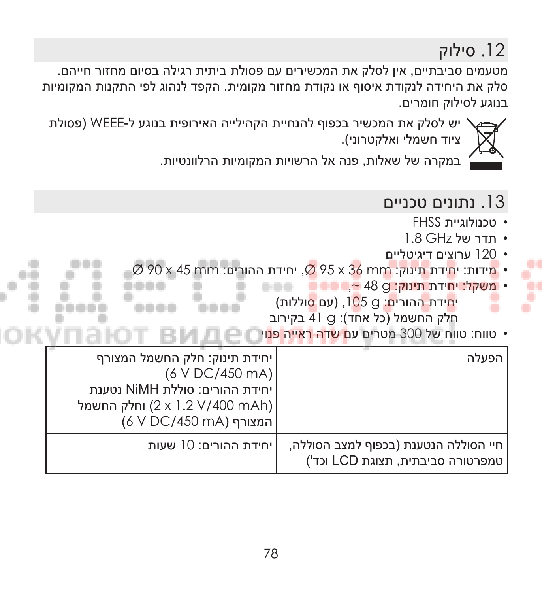.12 סילוק

מטעמים סביבתיים, אין לסלק את המכשירים עם פסולת ביתית רגילה בסיום מחזור חייהם. סלק את היחידה לנקודת איסוף או נקודת מחזור מקומית. הקפד לנהוג לפי התקנות המקומיות בנוגע לסילוק חומרים.



יש לסלק את המכשיר בכפוף להנחיית הקהילייה האירופית בנוגע ל-WEEE( פסולת .<br>ציוד חשמלי ואלקטרוני).

במקרה של שאלות, פנה אל הרשויות המקומיות הרלוונטיות.

## .13 נתונים טכניים

- טכנולוגיית FHSS
- תדר של GHz 1.8
- 120 ערוצים דיגיטליים
- $\times$  45 mm יחידת תינוק: מידות $\times$  95  $\times$  95  $^\circ$ . יחידת ההורים:  $^\circ$  mm  $^\circ$ 
	- משקל: יחידת תינוק: g 48~ , יחידת ההורים: g ,105( עם סוללות( חלק החשמל (כל אחד): 41 בקירוב
	- טווח: טווח של 300 מטרים עם שדה ראייה פנוי

| יחידת תינוק: חלק החשמל המצורף                                                                          | הפעלה |
|--------------------------------------------------------------------------------------------------------|-------|
|                                                                                                        |       |
| (6 V DC/450 mA)                                                                                        |       |
| I יחידת ההורים: סוללת NiMH נטענת                                                                       |       |
| l (2 x 1.2 V/400 mAh) וחלק החשמל                                                                       |       |
| המצורף (6 V DC/450 mA)                                                                                 |       |
| חיי הסוללה הנטענת (בכפוף למצב הסוללה,<br>  יחידת ההורים: 10 שעות<br> טמפרטורה סביבתית, תצוגת LCD וכד') |       |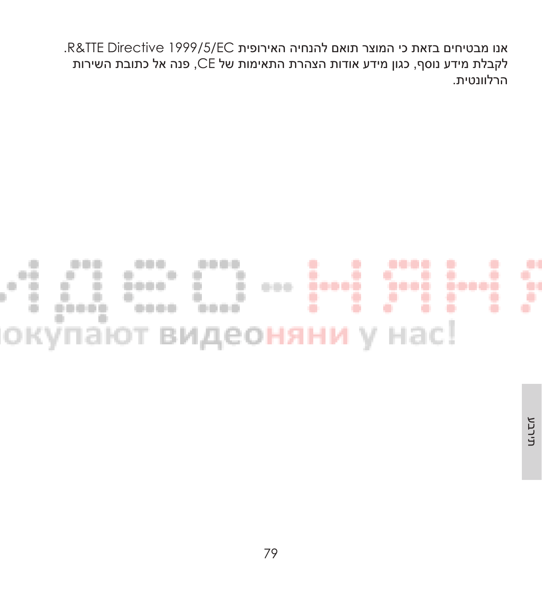אנו מבטיחים בזאת כי המוצר תואם להנחיה האירופית EC1999/5/ Directive TTE&R. לקבלת מידע נוסף, כגון מידע אודות הצהרת התאימות של CE, פנה אל כתובת השירות הרלוונטית.



תירבע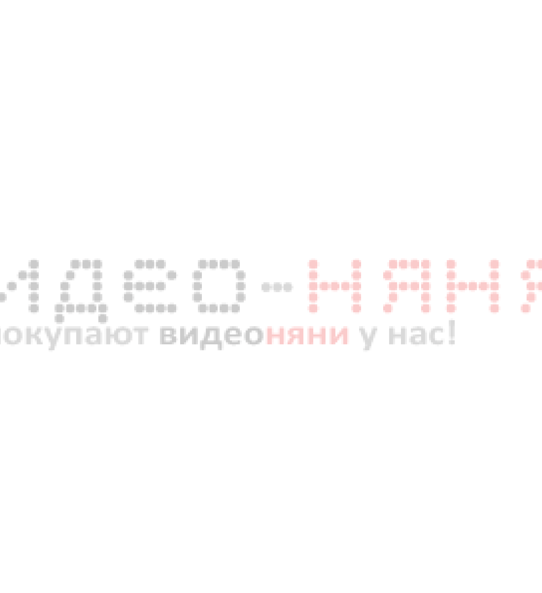$\begin{array}{cccccc} 0 & 0 & 0 & 0 & 0 & 0 & 0 & 0 & 0 \\ 0 & 0 & 0 & 0 & 0 & 0 & 0 & 0 \\ 0 & 0 & 0 & 0 & 0 & 0 & 0 & 0 \\ 0 & 0 & 0 & 0 & 0 & 0 & 0 & 0 \\ 0 & 0 & 0 & 0 & 0 & 0 & 0 & 0 \\ 0 & 0 & 0 & 0 & 0 & 0 & 0 & 0 \\ \end{array}$ **MO** M окупают видеоняни у нас!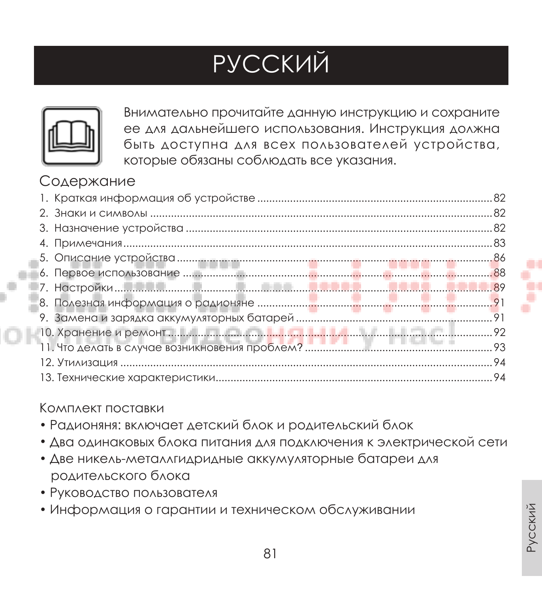# РУССКИЙ



Внимательно прочитайте данную инструкцию и сохраните ее для дальнейшего использования. Инструкция должна быть доступна для всех пользователей устройства, которые обязаны соблюдать все указания.

#### Содержание

#### Комплект поставки

- Радионяня: включает детский блок и родительский блок
- Два одинаковых блока питания для подключения к электрической сети
- Две никель-металлгидридные аккумуляторные батареи для родительского блока
- Руководство пользователя
- Информация о гарантии и техническом обслуживании

Русский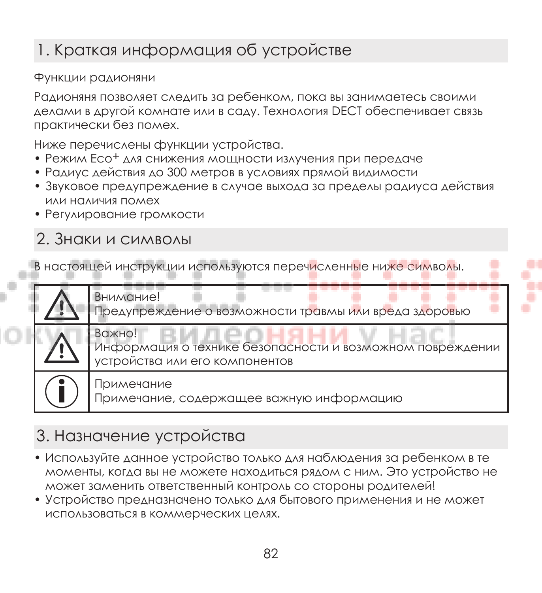## 1. Краткая информация об устройстве

#### Функции радионяни

Радионяня позволяет следить за ребенком, пока вы занимаетесь своими делами в другой комнате или в саду. Технология DECT обеспечивает связь практически без помех.

Ниже перечислены функции устройства.

- Режим Есо+ для снижения мощности излучения при передаче
- Радиус действия до 300 метров в условиях прямой видимости
- Звуковое предупреждение в случае выхода за пределы радиуса действия или наличия помех
- Регулирование громкости

## 2. Знаки и символы

В настоящей инструкции используются перечисленные ниже символы.

| Внимание!<br>Предупреждение о возможности травмы или вреда здоровью                                   |
|-------------------------------------------------------------------------------------------------------|
| Важно!<br>Информация о технике безопасности и возможном повреждении<br>устройства или его компонентов |
| Примечание<br>Примечание, содержащее важную информацию                                                |

٠

## 3. Назначение устройства

- Используйте данное устройство только для наблюдения за ребенком в те моменты, когда вы не можете находиться рядом с ним. Это устройство не может заменить ответственный контроль со стороны родителей!
- Устройство предназначено только для бытового применения и не может использоваться в коммерческих целях.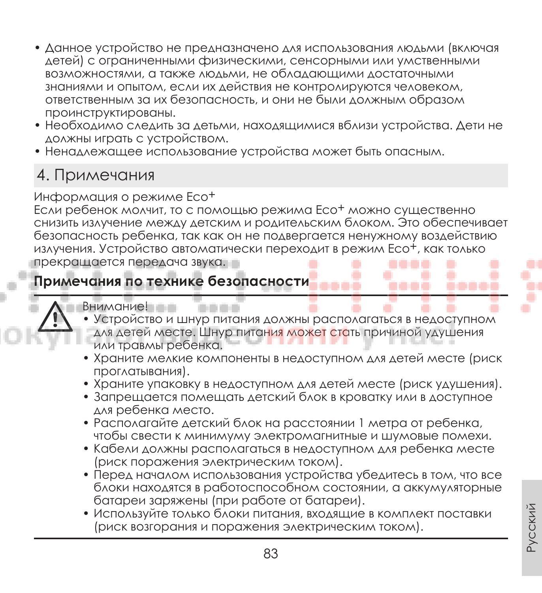- Данное устройство не предназначено для использования людьми (включая детей) с ограниченными физическими, сенсорными или умственными возможностями, а также людьми, не обладающими достаточными знаниями и опытом, если их действия не контролируются человеком, ответственным за их безопасность, и они не были должным образом проинструктированы.
- Необходимо следить за детьми, находящимися вблизи устройства. Дети не должны играть с устройством.
- Ненадлежащее использование устройства может быть опасным.

## 4. Примечания

Информация о режиме Eco+

Если ребенок молчит, то с помощью режима Eco+ можно существенно снизить излучение между детским и родительским блоком. Это обеспечивает безопасность ребенка, так как он не подвергается ненужному воздействию излучения. Устройство автоматически переходит в режим Eco+, как только прекращается передача звука.

#### **Примечания по технике безопасности**

Внимание!

- Устройство и шнур питания должны располагаться в недоступном для детей месте. Шнур питания может стать причиной удушения или травмы ребенка.
- Храните мелкие компоненты в недоступном для детей месте (риск проглатывания).
- Храните упаковку в недоступном для детей месте (риск удушения).
- Запрещается помещать детский блок в кроватку или в доступное для ребенка место.
- Располагайте детский блок на расстоянии 1 метра от ребенка, чтобы свести к минимуму электромагнитные и шумовые помехи.
- Кабели должны располагаться в недоступном для ребенка месте (риск поражения электрическим током).
- Перед началом использования устройства убедитесь в том, что все блоки находятся в работоспособном состоянии, а аккумуляторные батареи заряжены (при работе от батареи).
- Используйте только блоки питания, входящие в комплект поставки (риск возгорания и поражения электрическим током).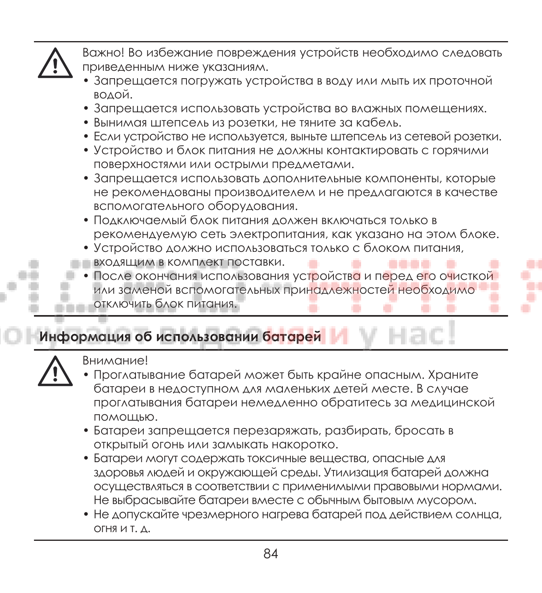

Важно! Во избежание повреждения устройств необходимо следовать приведенным ниже указаниям.

- Запрещается погружать устройства в воду или мыть их проточной водой.
- Запрещается использовать устройства во влажных помещениях.
- Вынимая штепсель из розетки, не тяните за кабель.
- Если устройство не используется, выньте штепсель из сетевой розетки.
- Устройство и блок питания не должны контактировать с горячими поверхностями или острыми предметами.
- Запрещается использовать дополнительные компоненты, которые не рекомендованы производителем и не предлагаются в качестве вспомогательного оборудования.
- Подключаемый блок питания должен включаться только в рекомендуемую сеть электропитания, как указано на этом блоке.
- Устройство должно использоваться только с блоком питания,
- входящим в комплект поставки.
- После окончания использования устройства и перед его очисткой или заменой вспомогательных принадлежностей необходимо отключить блок питания.

## **Информация об использовании батарей**



**Внимание!** 

- Проглатывание батарей может быть крайне опасным. Храните батареи в недоступном для маленьких детей месте. В случае проглатывания батареи немедленно обратитесь за медицинской помощью.
- Батареи запрещается перезаряжать, разбирать, бросать в открытый огонь или замыкать накоротко.
- Батареи могут содержать токсичные вещества, опасные для здоровья людей и окружающей среды. Утилизация батарей должна осуществляться в соответствии с применимыми правовыми нормами. Не выбрасывайте батареи вместе с обычным бытовым мусором.
- Не допускайте чрезмерного нагрева батарей под действием солнца, огня и т. д.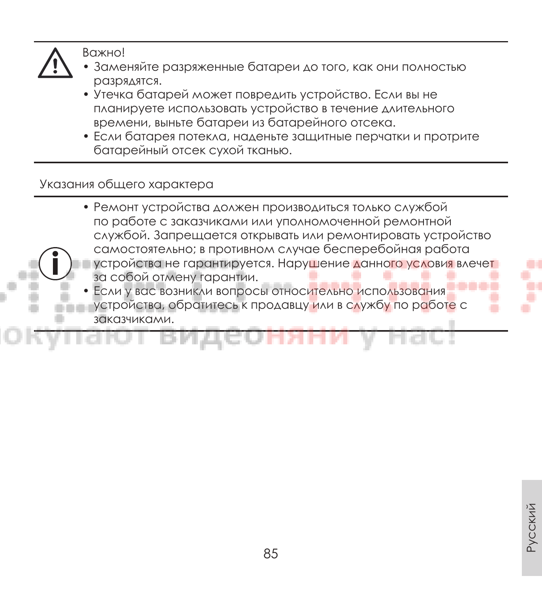

Важно!

- Заменяйте разряженные батареи до того, как они полностью разрядятся.
- Утечка батарей может повредить устройство. Если вы не планируете использовать устройство в течение длительного времени, выньте батареи из батарейного отсека.
- Если батарея потекла, наденьте защитные перчатки и протрите батарейный отсек сухой тканью.

#### Указания общего характера

• Ремонт устройства должен производиться только службой по работе с заказчиками или уполномоченной ремонтной службой. Запрещается открывать или ремонтировать устройство самостоятельно; в противном случае бесперебойная работа устройства не гарантируется. Нарушение данного условия влечет за собой отмену гарантии.

• Если у вас возникли вопросы относительно использования устройства, обратитесь к продавцу или в службу по работе с заказчиками.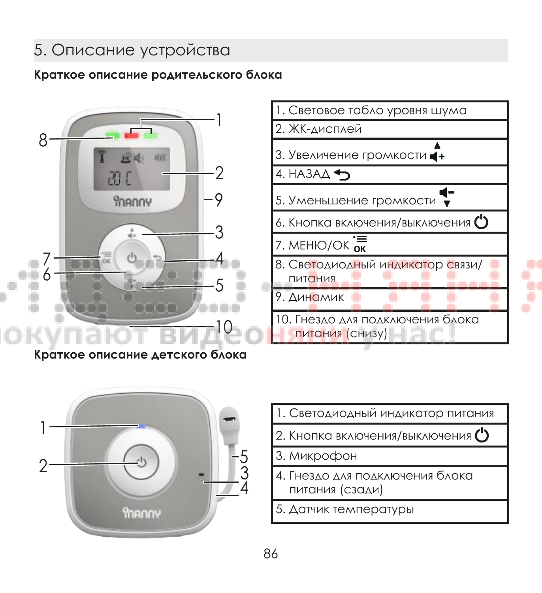## 5. Описание устройства

#### **Краткое описание родительского блока**





| 1. Светодиодный индикатор питания                  |
|----------------------------------------------------|
| 2. Кнопка включения/выключения (                   |
| 3. Микрофон                                        |
| 4. Гнездо для подключения блока<br>питания (сзади) |
| 5. Датчик температуры                              |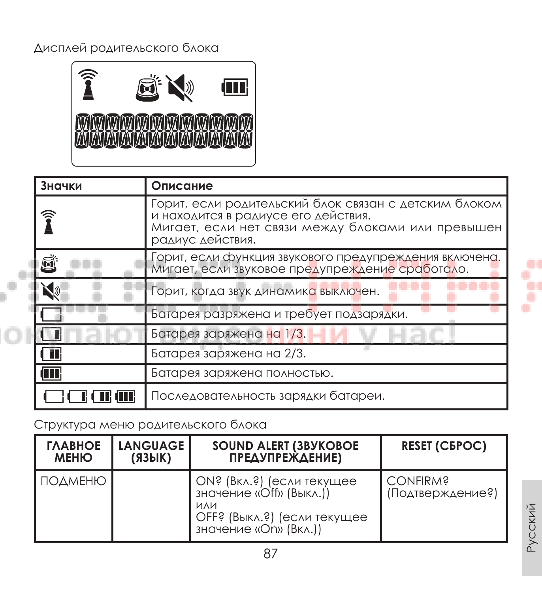### Дисплей родительского блока



| Значки       | Описание                                                                                                                                                              |  |
|--------------|-----------------------------------------------------------------------------------------------------------------------------------------------------------------------|--|
| ริ           | Горит, если родительский блок связан с детским блоком<br>и находится в радиусе его действия.<br>Мигает, если нет связи между блоками или превышен<br>радиус действия. |  |
| e            | Горит, если функция звукового предупреждения включена.<br>Мигает, если звуковое предупреждение сработало.                                                             |  |
|              | Горит, когда звук динамика выключен.                                                                                                                                  |  |
|              | Батарея разряжена и требует подзарядки.                                                                                                                               |  |
|              | Батарея заряжена на 1/3.                                                                                                                                              |  |
| $\mathbf{u}$ | Батарея заряжена на 2/3.                                                                                                                                              |  |
| Œ            | Батарея заряжена полностью.                                                                                                                                           |  |
|              | Последовательность зарядки батареи.                                                                                                                                   |  |

#### Структура меню родительского блока

| <b><i>TAABHOE</i></b> | <b>LANGUAGE</b> I | SOUND ALERT (3BYKOBOE                                                                                                | RESET (CEPOC)                       |
|-----------------------|-------------------|----------------------------------------------------------------------------------------------------------------------|-------------------------------------|
| <b>MEHIO</b>          | (ЯЗЫК)            | ПРЕДУПРЕЖДЕНИЕ)                                                                                                      |                                     |
| ΠΟΔΜΕΗЮ               |                   | ON? (Вкл.?) (если текущее<br>значение «Off» (Выкл.))<br>ИЛИ<br>┃OFF? (Выкл.?) (если текущее<br>значение «On» (Вкл.)) | <b>CONFIRM?</b><br>(Подтверждение?) |

Русский

ĵ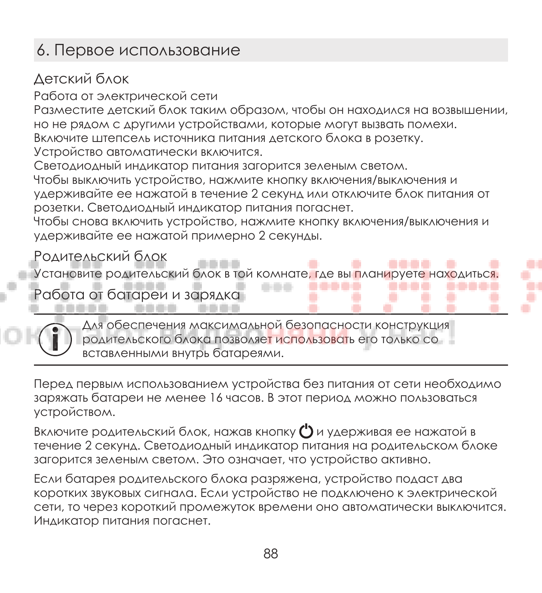## 6. Первое использование

#### Детский блок

Работа от электрической сети

Разместите детский блок таким образом, чтобы он находился на возвышении, но не рядом с другими устройствами, которые могут вызвать помехи. Включите штепсель источника питания детского блока в розетку.

Устройство автоматически включится.

Светодиодный индикатор питания загорится зеленым светом.

Чтобы выключить устройство, нажмите кнопку включения/выключения и удерживайте ее нажатой в течение 2 секунд или отключите блок питания от .<br>розетки. Светодиодный индикатор питания погаснет.

Чтобы снова включить устройство, нажмите кнопку включения/выключения и

удерживайте ее нажатой примерно 2 секунды.

#### Родительский блок

Установите родительский блок в той комнате, где вы планируете находить

Работа от батареи и зарядка

Для обеспечения максимальной безопасности конструкция родительского блока позволяет использовать его только со вставленными внутрь батареями.

Перед первым использованием устройства без питания от сети необходимо заряжать батареи не менее 16 часов. В этот период можно пользоваться устройством.

Включите родительский блок, нажав кнопку (<sup>1</sup>) и удерживая ее нажатой в течение 2 секунд. Светодиодный индикатор питания на родительском блоке загорится зеленым светом. Это означает, что устройство активно.

Если батарея родительского блока разряжена, устройство подаст два коротких звуковых сигнала. Если устройство не подключено к электрической сети, то через короткий промежуток времени оно автоматически выключится. Индикатор питания погаснет.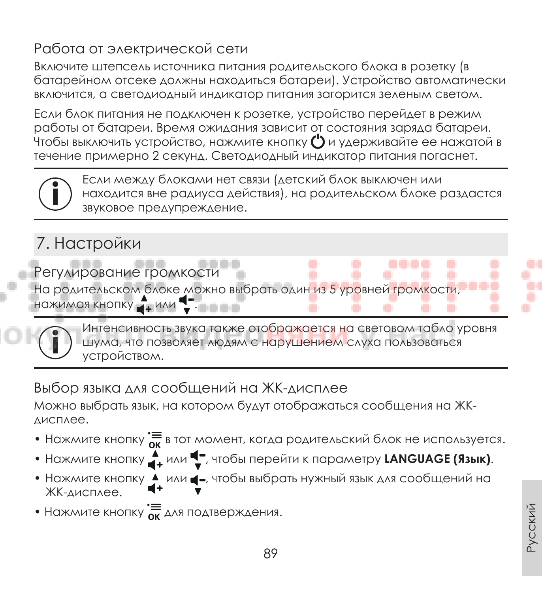## Работа от электрической сети

Включите штепсель источника питания родительского блока в розетку (в батарейном отсеке должны находиться батареи). Устройство автоматически включится, а светодиодный индикатор питания загорится зеленым светом.

Если блок питания не подключен к розетке, устройство перейдет в режим работы от батареи. Время ожидания зависит от состояния заряда батареи. Чтобы выключить устройство, нажмите кнопку (1) и удерживайте ее нажатой в течение примерно 2 секунд. Светодиодный индикатор питания погаснет.

Если между блоками нет связи (детский блок выключен или находится вне радиуса действия), на родительском блоке раздастся звуковое предупреждение.

## 7. Настройки

Регулирование громкости

На родительском блоке можно выбрать один из 5 уровней громкости, нажимая кнопку ... или

> Интенсивность звука также отображается на световом табло уровня шума, что позволяет людям с нарушением слуха пользоваться устройством.

Выбор языка для сообщений на ЖК-дисплее

Можно выбрать язык, на котором будут отображаться сообщения на ЖКдисплее.

- Нажмите кнопку  $\equiv$  в тот момент, когда родительский блок не используется.
- Нажмите кнопку 1, или <sup>1</sup>, чтобы перейти к параметру LANGUAGE (Язык).
- Нажмите кнопку  $\blacktriangle$  или  $\blacktriangleleft$ , чтобы выбрать нужный язык для сообщений на ЖК-дисплее.
- Нажмите кнопку  $\overline{\overline{a}}$  для подтверждения.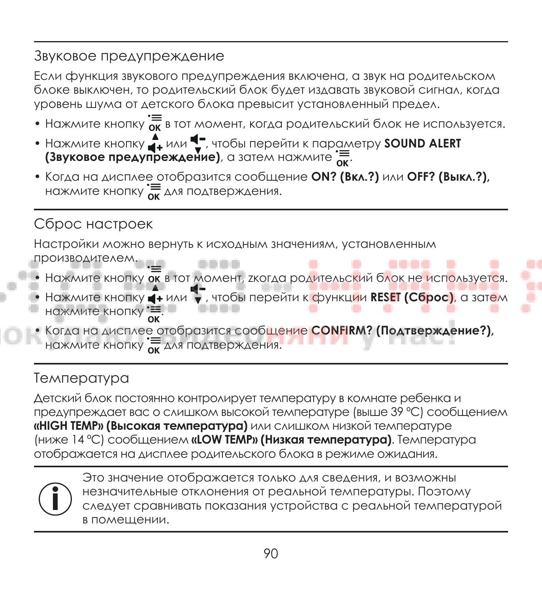#### Звуковое предупреждение

Если функция звукового предупреждения включена, а звук на родительском блоке выключен, то родительский блок будет издавать звуковой сигнал, когда уровень шума от детского блока превысит установленный предел.

- Нажмите кнопку  $\overline{\mathbf{e}}$  в тот момент, когда родительский блок не используется.
- Нажмите кнопку  $\uparrow$ , или  $\P$ , чтобы перейти к параметру SOUND ALERT **(Звуковое предупреждение)**, а затем нажмите .
- Когда на дисплее отобразится сообщение **ON? (Вкл.?)** или **OFF? (Выкл.?),** нажмите кнопку = для подтверждения.

## Сброс настроек

Настройки можно вернуть к исходным значениям, установленным производителем.

- Нажмите кнопку ок в тот момент, zкогда родительский блок не используется.
- Нажмите кнопку **1**+ или у, чтобы перейти к функции RESET (Сброс), а затем нажмите кнопку .
- Когда на дисплее отобразится сообщение **CONFIRM? (Подтверждение?),** нажмите кнопку для подтверждения.

## Температура

Детский блок постоянно контролирует температуру в комнате ребенка и предупреждает вас о слишком высокой температуре (выше 39 ºC) сообщением **«HIGH TEMP» (Высокая температура)** или слишком низкой температуре (ниже 14 ºC) сообщением **«LOW TEMP» (Низкая температура)**. Температура отображается на дисплее родительского блока в режиме ожидания.

Это значение отображается только для сведения, и возможны незначительные отклонения от реальной температуры. Поэтому следует сравнивать показания устройства с реальной температурой в помещении.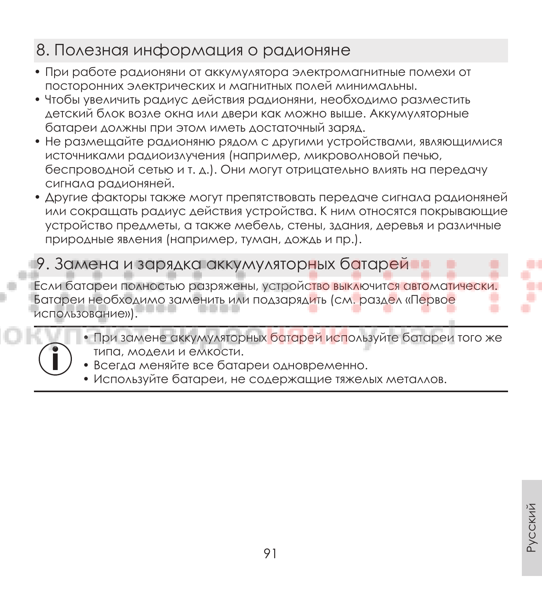## 8. Полезная информация о радионяне

- При работе радионяни от аккумулятора электромагнитные помехи от посторонних электрических и магнитных полей минимальны.
- Чтобы увеличить радиус действия радионяни, необходимо разместить детский блок возле окна или двери как можно выше. Аккумуляторные батареи должны при этом иметь достаточный заряд.
- Не размещайте радионяню рядом с другими устройствами, являющимися источниками радиоизлучения (например, микроволновой печью, беспроводной сетью и т. д.). Они могут отрицательно влиять на передачу сигнала радионяней.
- Другие факторы также могут препятствовать передаче сигнала радионяней или сокращать радиус действия устройства. К ним относятся покрывающие устройство предметы, а также мебель, стены, здания, деревья и различные природные явления (например, туман, дождь и пр.).

## 9. Замена и зарядка аккумуляторных батарей

Если батареи полностью разряжены, устройство выключится автоматически. Батареи необходимо заменить или подзарядить (см. раздел «Первое использование»).

- При замене аккумуляторных батарей используйте батареи того же типа, модели и емкости.
- Всегда меняйте все батареи одновременно
- Используйте батареи, не содержащие тяжелых металлов.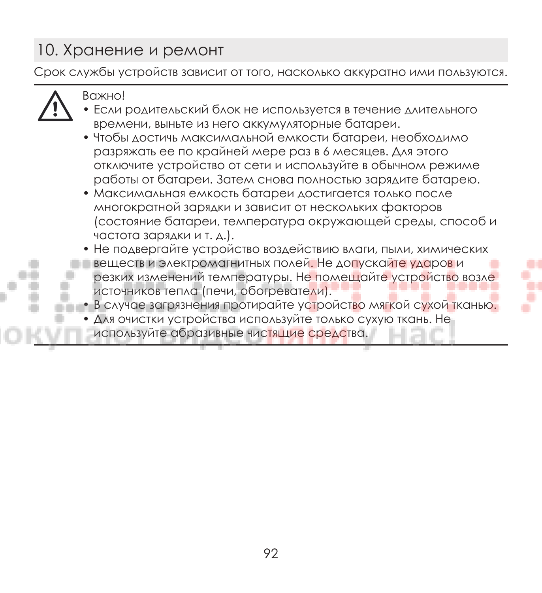## 10. Хранение и ремонт

Срок службы устройств зависит от того, насколько аккуратно ими пользуются.



- Если родительский блок не используется в течение длительного времени, выньте из него аккумуляторные батареи.
- Чтобы достичь максимальной емкости батареи, необходимо разряжать ее по крайней мере раз в 6 месяцев. Для этого отключите устройство от сети и используйте в обычном режиме работы от батареи. Затем снова полностью зарядите батарею.
- Максимальная емкость батареи достигается только после многократной зарядки и зависит от нескольких факторов (состояние батареи, температура окружающей среды, способ и частота зарядки и т. д.).
- Не подвергайте устройство воздействию влаги, пыли, химических
- веществ и электромагнитных полей. Не допускайте ударов и резких изменений температуры. Не помещайте устройство возле источников тепла (печи, обогреватели).
	- В случае загрязнения протирайте устройство мягкой сухой тканью.
	- Для очистки устройства используйте только сухую ткань. Не
	- используйте абразивные чистящие средства.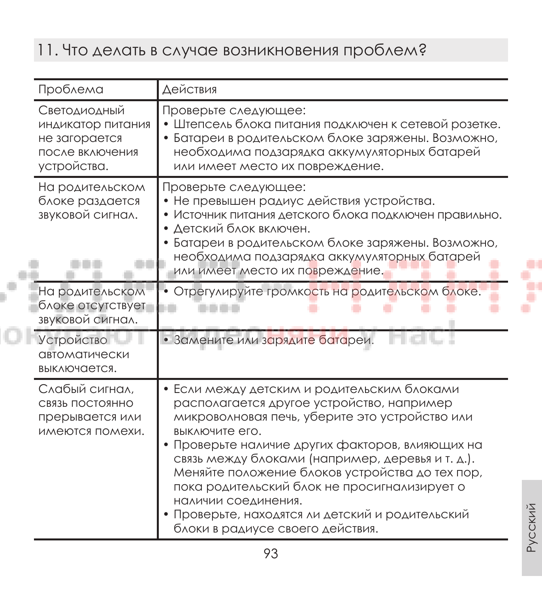## 11. Что делать в случае возникновения проблем?

 $\sim$ ø.

| Проблема                                                                             | Действия                                                                                                                                                                                                                                                                                                                                                                                                                                                                                  |       |
|--------------------------------------------------------------------------------------|-------------------------------------------------------------------------------------------------------------------------------------------------------------------------------------------------------------------------------------------------------------------------------------------------------------------------------------------------------------------------------------------------------------------------------------------------------------------------------------------|-------|
| Светодиодный<br>ИНДИКАТОР ПИТАНИЯ<br>не загорается<br>ПОСЛЕ ВКЛЮЧЕНИЯ<br>устройства. | Проверьте следующее:<br>• Штепсель блока питания подключен к сетевой розетке.<br>Батареи в родительском блоке заряжены. Возможно,<br>необходима подзарядка аккумуляторных батарей<br>или имеет место их повреждение.                                                                                                                                                                                                                                                                      |       |
| На родительском<br>блоке раздается<br>звуковой сигнал.                               | Проверьте следующее:<br>Не превышен радиус действия устройства.<br>• Источник питания детского блока подключен правильно.<br>• Детский блок включен.<br>Батареи в родительском блоке заряжены. Возможно,<br>необходима подзарядка аккумуляторных батарей<br>или имеет место их повреждение.                                                                                                                                                                                               |       |
| На родительском<br>блоке отсутствует<br>звуковой сигнал.                             | • Отрегулируйте громкость на родительском блоке.                                                                                                                                                                                                                                                                                                                                                                                                                                          |       |
| <b>Устройство</b><br>автоматически<br>выключается.                                   | • Замените или зарядите батареи.                                                                                                                                                                                                                                                                                                                                                                                                                                                          |       |
| Слабый сигнал.<br>СВЯЗЬ ПОСТОЯННО<br>прерывается или<br>имеются помехи.              | Если между детским и родительским блоками<br>۰<br>располагается другое устройство, например<br>микроволновая печь, уберите это устройство или<br>выключите его.<br>• Проверьте наличие других факторов, влияющих на<br>связь между блоками (например, деревья и т. д.).<br>Меняйте положение блоков устройства до тех пор,<br>пока родительский блок не просигнализирует о<br>наличии соединения.<br>• Проверьте, находятся ли детский и родительский<br>блоки в радиусе своего действия. | ССКИЙ |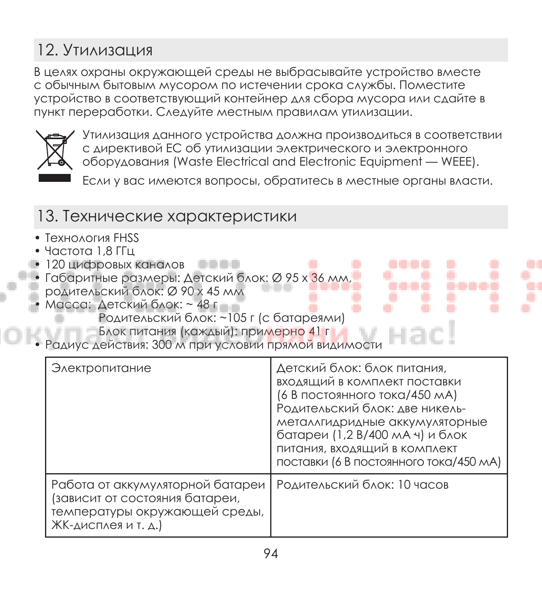## оборудования (Waste Electrical and Electronic Equipment — WEEE).

Если у вас имеются вопросы, обратитесь в местные органы власти.

Утилизация данного устройства должна производиться в соответствии с директивой ЕС об утилизации электрического и электронного

В целях охраны окружающей среды не выбрасывайте устройство вместе с обычным бытовым мусором по истечении срока службы. Поместите устройство в соответствующий контейнер для сбора мусора или сдайте в пункт переработки. Следуйте местным правилам утилизации.

## 13. Технические характеристики

• Технология FHSS

12. Утилизация

- Частота 1,8 ГГц
- 120 цифровых каналов
- Габаритные размеры: Детский блок: Ø 95 x 36 мм. родительский блок: Ø 90 x 45 мм
- Масса: Детский блок: ~ 48 г
	- Родительский блок: ~105 г (с батареями)
	- Блок питания (каждый): примерно 41 г
- Радиус действия: 300 м при условии прямой видимости

| Электропитание                                                                                                             | Детский блок: блок питания,<br>ВХОДЯЩИЙ В КОМПЛЕКТ ПОСТАВКИ<br>(6 В постоянного тока/450 мА)<br>Родительский блок: две никель-<br>металлгидридные аккумуляторные<br>батареи (1,2 В/400 мА ч) и блок<br>ПИТАНИЯ, ВХОДЯЩИЙ В КОМПЛЕКТ<br>поставки (6 В постоянного тока/450 мА) |
|----------------------------------------------------------------------------------------------------------------------------|-------------------------------------------------------------------------------------------------------------------------------------------------------------------------------------------------------------------------------------------------------------------------------|
| Работа от аккумуляторной батареи<br>(зависит от состояния батареи,<br>температуры окружающей среды,<br>ЖК-дисплея и т. д.) | Родительский блок: 10 часов                                                                                                                                                                                                                                                   |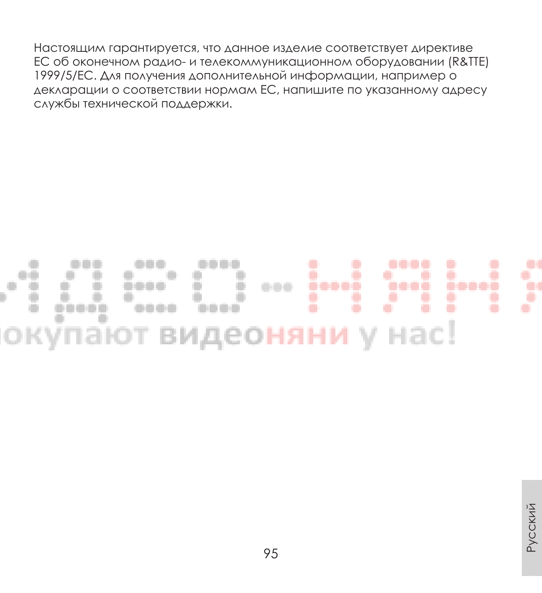Настоящим гарантируется, что данное изделие соответствует директиве ЕС об оконечном радио- и телекоммуникационном оборудовании (R&TTE) 1999/5/EC. Для получения дополнительной информации, например о декларации о соответствии нормам ЕС, напишите по указанному адресу службы технической поддержки.

#### ä × ä a. ..... ----'n ä ö ä ют видеоняни у нас!